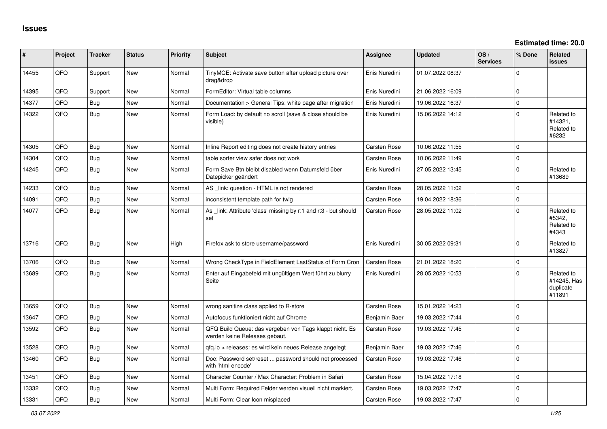| ∥ #   | Project | <b>Tracker</b> | <b>Status</b> | Priority | <b>Subject</b>                                                                           | <b>Assignee</b>     | <b>Updated</b>   | OS/<br><b>Services</b> | % Done      | Related<br><b>issues</b>                         |
|-------|---------|----------------|---------------|----------|------------------------------------------------------------------------------------------|---------------------|------------------|------------------------|-------------|--------------------------------------------------|
| 14455 | QFQ     | Support        | <b>New</b>    | Normal   | TinyMCE: Activate save button after upload picture over<br>drag&drop                     | Enis Nuredini       | 01.07.2022 08:37 |                        | $\Omega$    |                                                  |
| 14395 | QFQ     | Support        | <b>New</b>    | Normal   | FormEditor: Virtual table columns                                                        | Enis Nuredini       | 21.06.2022 16:09 |                        | $\Omega$    |                                                  |
| 14377 | QFQ     | <b>Bug</b>     | New           | Normal   | Documentation > General Tips: white page after migration                                 | Enis Nuredini       | 19.06.2022 16:37 |                        | $\mathbf 0$ |                                                  |
| 14322 | QFQ     | <b>Bug</b>     | New           | Normal   | Form Load: by default no scroll (save & close should be<br>visible)                      | Enis Nuredini       | 15.06.2022 14:12 |                        | $\mathbf 0$ | Related to<br>#14321,<br>Related to<br>#6232     |
| 14305 | QFQ     | Bug            | <b>New</b>    | Normal   | Inline Report editing does not create history entries                                    | <b>Carsten Rose</b> | 10.06.2022 11:55 |                        | $\Omega$    |                                                  |
| 14304 | QFQ     | Bug            | <b>New</b>    | Normal   | table sorter view safer does not work                                                    | <b>Carsten Rose</b> | 10.06.2022 11:49 |                        | $\mathbf 0$ |                                                  |
| 14245 | QFQ     | <b>Bug</b>     | New           | Normal   | Form Save Btn bleibt disabled wenn Datumsfeld über<br>Datepicker geändert                | Enis Nuredini       | 27.05.2022 13:45 |                        | $\mathbf 0$ | Related to<br>#13689                             |
| 14233 | QFQ     | <b>Bug</b>     | New           | Normal   | AS _link: question - HTML is not rendered                                                | <b>Carsten Rose</b> | 28.05.2022 11:02 |                        | $\mathbf 0$ |                                                  |
| 14091 | QFQ     | Bug            | <b>New</b>    | Normal   | inconsistent template path for twig                                                      | Carsten Rose        | 19.04.2022 18:36 |                        | $\Omega$    |                                                  |
| 14077 | QFQ     | <b>Bug</b>     | New           | Normal   | As link: Attribute 'class' missing by r:1 and r:3 - but should<br>set                    | <b>Carsten Rose</b> | 28.05.2022 11:02 |                        | $\mathbf 0$ | Related to<br>#5342.<br>Related to<br>#4343      |
| 13716 | QFQ     | <b>Bug</b>     | New           | High     | Firefox ask to store username/password                                                   | Enis Nuredini       | 30.05.2022 09:31 |                        | $\mathbf 0$ | Related to<br>#13827                             |
| 13706 | QFQ     | Bug            | <b>New</b>    | Normal   | Wrong CheckType in FieldElement LastStatus of Form Cron                                  | <b>Carsten Rose</b> | 21.01.2022 18:20 |                        | $\Omega$    |                                                  |
| 13689 | QFQ     | Bug            | New           | Normal   | Enter auf Eingabefeld mit ungültigem Wert führt zu blurry<br>Seite                       | Enis Nuredini       | 28.05.2022 10:53 |                        | $\Omega$    | Related to<br>#14245, Has<br>duplicate<br>#11891 |
| 13659 | QFQ     | <b>Bug</b>     | New           | Normal   | wrong sanitize class applied to R-store                                                  | <b>Carsten Rose</b> | 15.01.2022 14:23 |                        | $\mathbf 0$ |                                                  |
| 13647 | QFQ     | Bug            | New           | Normal   | Autofocus funktioniert nicht auf Chrome                                                  | Benjamin Baer       | 19.03.2022 17:44 |                        | $\Omega$    |                                                  |
| 13592 | QFQ     | <b>Bug</b>     | New           | Normal   | QFQ Build Queue: das vergeben von Tags klappt nicht. Es<br>werden keine Releases gebaut. | <b>Carsten Rose</b> | 19.03.2022 17:45 |                        | $\Omega$    |                                                  |
| 13528 | QFQ     | Bug            | <b>New</b>    | Normal   | qfq.io > releases: es wird kein neues Release angelegt                                   | Benjamin Baer       | 19.03.2022 17:46 |                        | $\Omega$    |                                                  |
| 13460 | QFQ     | Bug            | New           | Normal   | Doc: Password set/reset  password should not processed<br>with 'html encode'             | <b>Carsten Rose</b> | 19.03.2022 17:46 |                        | $\mathbf 0$ |                                                  |
| 13451 | QFQ     | <b>Bug</b>     | New           | Normal   | Character Counter / Max Character: Problem in Safari                                     | <b>Carsten Rose</b> | 15.04.2022 17:18 |                        | $\mathbf 0$ |                                                  |
| 13332 | QFQ     | Bug            | <b>New</b>    | Normal   | Multi Form: Required Felder werden visuell nicht markiert.                               | <b>Carsten Rose</b> | 19.03.2022 17:47 |                        | $\mathbf 0$ |                                                  |
| 13331 | QFQ     | Bug            | New           | Normal   | Multi Form: Clear Icon misplaced                                                         | Carsten Rose        | 19.03.2022 17:47 |                        | $\Omega$    |                                                  |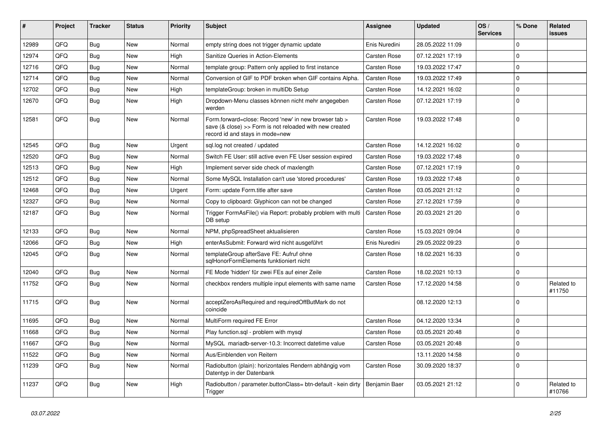| #     | Project | <b>Tracker</b> | <b>Status</b> | <b>Priority</b> | Subject                                                                                                                                             | Assignee            | <b>Updated</b>   | OS/<br><b>Services</b> | % Done      | Related<br><b>issues</b> |
|-------|---------|----------------|---------------|-----------------|-----------------------------------------------------------------------------------------------------------------------------------------------------|---------------------|------------------|------------------------|-------------|--------------------------|
| 12989 | QFQ     | Bug            | New           | Normal          | empty string does not trigger dynamic update                                                                                                        | Enis Nuredini       | 28.05.2022 11:09 |                        | $\Omega$    |                          |
| 12974 | QFQ     | Bug            | New           | High            | Sanitize Queries in Action-Elements                                                                                                                 | Carsten Rose        | 07.12.2021 17:19 |                        | $\mathbf 0$ |                          |
| 12716 | QFQ     | <b>Bug</b>     | New           | Normal          | template group: Pattern only applied to first instance                                                                                              | <b>Carsten Rose</b> | 19.03.2022 17:47 |                        | $\Omega$    |                          |
| 12714 | QFQ     | Bug            | New           | Normal          | Conversion of GIF to PDF broken when GIF contains Alpha.                                                                                            | <b>Carsten Rose</b> | 19.03.2022 17:49 |                        | $\mathbf 0$ |                          |
| 12702 | QFQ     | Bug            | New           | High            | templateGroup: broken in multiDb Setup                                                                                                              | Carsten Rose        | 14.12.2021 16:02 |                        | $\mathbf 0$ |                          |
| 12670 | QFQ     | Bug            | New           | High            | Dropdown-Menu classes können nicht mehr angegeben<br>werden                                                                                         | Carsten Rose        | 07.12.2021 17:19 |                        | $\Omega$    |                          |
| 12581 | QFQ     | Bug            | New           | Normal          | Form forward=close: Record 'new' in new browser tab ><br>save (& close) >> Form is not reloaded with new created<br>record id and stays in mode=new | <b>Carsten Rose</b> | 19.03.2022 17:48 |                        | $\Omega$    |                          |
| 12545 | QFQ     | Bug            | <b>New</b>    | Urgent          | sql.log not created / updated                                                                                                                       | <b>Carsten Rose</b> | 14.12.2021 16:02 |                        | $\Omega$    |                          |
| 12520 | QFQ     | Bug            | New           | Normal          | Switch FE User: still active even FE User session expired                                                                                           | <b>Carsten Rose</b> | 19.03.2022 17:48 |                        | $\mathbf 0$ |                          |
| 12513 | QFQ     | Bug            | New           | High            | Implement server side check of maxlength                                                                                                            | <b>Carsten Rose</b> | 07.12.2021 17:19 |                        | $\mathbf 0$ |                          |
| 12512 | QFQ     | Bug            | New           | Normal          | Some MySQL Installation can't use 'stored procedures'                                                                                               | Carsten Rose        | 19.03.2022 17:48 |                        | $\mathbf 0$ |                          |
| 12468 | QFQ     | Bug            | New           | Urgent          | Form: update Form.title after save                                                                                                                  | <b>Carsten Rose</b> | 03.05.2021 21:12 |                        | $\mathbf 0$ |                          |
| 12327 | QFQ     | <b>Bug</b>     | New           | Normal          | Copy to clipboard: Glyphicon can not be changed                                                                                                     | <b>Carsten Rose</b> | 27.12.2021 17:59 |                        | $\mathbf 0$ |                          |
| 12187 | QFQ     | Bug            | <b>New</b>    | Normal          | Trigger FormAsFile() via Report: probably problem with multi<br>DB setup                                                                            | Carsten Rose        | 20.03.2021 21:20 |                        | $\Omega$    |                          |
| 12133 | QFQ     | Bug            | New           | Normal          | NPM, phpSpreadSheet aktualisieren                                                                                                                   | <b>Carsten Rose</b> | 15.03.2021 09:04 |                        | $\mathbf 0$ |                          |
| 12066 | QFQ     | Bug            | New           | High            | enterAsSubmit: Forward wird nicht ausgeführt                                                                                                        | Enis Nuredini       | 29.05.2022 09:23 |                        | $\Omega$    |                          |
| 12045 | QFQ     | <b>Bug</b>     | New           | Normal          | templateGroup afterSave FE: Aufruf ohne<br>sqlHonorFormElements funktioniert nicht                                                                  | Carsten Rose        | 18.02.2021 16:33 |                        | $\Omega$    |                          |
| 12040 | QFQ     | Bug            | <b>New</b>    | Normal          | FE Mode 'hidden' für zwei FEs auf einer Zeile                                                                                                       | <b>Carsten Rose</b> | 18.02.2021 10:13 |                        | $\mathbf 0$ |                          |
| 11752 | QFQ     | Bug            | New           | Normal          | checkbox renders multiple input elements with same name                                                                                             | Carsten Rose        | 17.12.2020 14:58 |                        | $\Omega$    | Related to<br>#11750     |
| 11715 | QFQ     | Bug            | New           | Normal          | acceptZeroAsRequired and requiredOffButMark do not<br>coincide                                                                                      |                     | 08.12.2020 12:13 |                        | $\mathbf 0$ |                          |
| 11695 | QFQ     | Bug            | New           | Normal          | MultiForm required FE Error                                                                                                                         | <b>Carsten Rose</b> | 04.12.2020 13:34 |                        | $\mathbf 0$ |                          |
| 11668 | QFQ     | Bug            | New           | Normal          | Play function.sql - problem with mysql                                                                                                              | Carsten Rose        | 03.05.2021 20:48 |                        | $\mathbf 0$ |                          |
| 11667 | QFG     | Bug            | New           | Normal          | MySQL mariadb-server-10.3: Incorrect datetime value                                                                                                 | Carsten Rose        | 03.05.2021 20:48 |                        | $\mathbf 0$ |                          |
| 11522 | QFQ     | <b>Bug</b>     | <b>New</b>    | Normal          | Aus/Einblenden von Reitern                                                                                                                          |                     | 13.11.2020 14:58 |                        | $\mathbf 0$ |                          |
| 11239 | QFQ     | <b>Bug</b>     | New           | Normal          | Radiobutton (plain): horizontales Rendern abhängig vom<br>Datentyp in der Datenbank                                                                 | Carsten Rose        | 30.09.2020 18:37 |                        | $\mathbf 0$ |                          |
| 11237 | QFQ     | Bug            | New           | High            | Radiobutton / parameter.buttonClass= btn-default - kein dirty<br>Trigger                                                                            | Benjamin Baer       | 03.05.2021 21:12 |                        | $\pmb{0}$   | Related to<br>#10766     |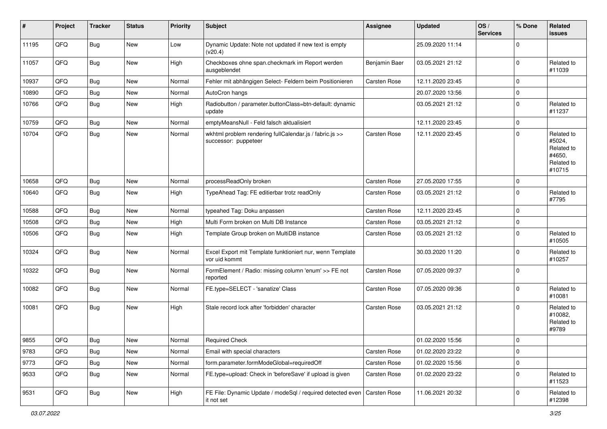| #     | Project | <b>Tracker</b> | <b>Status</b> | <b>Priority</b> | <b>Subject</b>                                                                  | Assignee            | <b>Updated</b>   | OS/<br><b>Services</b> | % Done      | Related<br>issues                                                    |
|-------|---------|----------------|---------------|-----------------|---------------------------------------------------------------------------------|---------------------|------------------|------------------------|-------------|----------------------------------------------------------------------|
| 11195 | QFQ     | <b>Bug</b>     | New           | Low             | Dynamic Update: Note not updated if new text is empty<br>(v20.4)                |                     | 25.09.2020 11:14 |                        | $\Omega$    |                                                                      |
| 11057 | QFQ     | Bug            | <b>New</b>    | High            | Checkboxes ohne span.checkmark im Report werden<br>ausgeblendet                 | Benjamin Baer       | 03.05.2021 21:12 |                        | $\Omega$    | Related to<br>#11039                                                 |
| 10937 | QFQ     | Bug            | New           | Normal          | Fehler mit abhängigen Select- Feldern beim Positionieren                        | <b>Carsten Rose</b> | 12.11.2020 23:45 |                        | $\Omega$    |                                                                      |
| 10890 | QFQ     | <b>Bug</b>     | New           | Normal          | AutoCron hangs                                                                  |                     | 20.07.2020 13:56 |                        | $\Omega$    |                                                                      |
| 10766 | QFQ     | <b>Bug</b>     | New           | High            | Radiobutton / parameter.buttonClass=btn-default: dynamic<br>update              |                     | 03.05.2021 21:12 |                        | $\Omega$    | Related to<br>#11237                                                 |
| 10759 | QFQ     | Bug            | New           | Normal          | emptyMeansNull - Feld falsch aktualisiert                                       |                     | 12.11.2020 23:45 |                        | $\Omega$    |                                                                      |
| 10704 | QFQ     | <b>Bug</b>     | New           | Normal          | wkhtml problem rendering fullCalendar.js / fabric.js >><br>successor: puppeteer | <b>Carsten Rose</b> | 12.11.2020 23:45 |                        | $\Omega$    | Related to<br>#5024,<br>Related to<br>#4650,<br>Related to<br>#10715 |
| 10658 | QFQ     | Bug            | New           | Normal          | processReadOnly broken                                                          | Carsten Rose        | 27.05.2020 17:55 |                        | $\Omega$    |                                                                      |
| 10640 | QFQ     | Bug            | New           | High            | TypeAhead Tag: FE editierbar trotz readOnly                                     | Carsten Rose        | 03.05.2021 21:12 |                        | $\Omega$    | Related to<br>#7795                                                  |
| 10588 | QFQ     | <b>Bug</b>     | New           | Normal          | typeahed Tag: Doku anpassen                                                     | Carsten Rose        | 12.11.2020 23:45 |                        | $\Omega$    |                                                                      |
| 10508 | QFQ     | <b>Bug</b>     | New           | High            | Multi Form broken on Multi DB Instance                                          | Carsten Rose        | 03.05.2021 21:12 |                        | $\Omega$    |                                                                      |
| 10506 | QFQ     | Bug            | New           | High            | Template Group broken on MultiDB instance                                       | Carsten Rose        | 03.05.2021 21:12 |                        | $\Omega$    | Related to<br>#10505                                                 |
| 10324 | QFQ     | Bug            | New           | Normal          | Excel Export mit Template funktioniert nur, wenn Template<br>vor uid kommt      |                     | 30.03.2020 11:20 |                        | $\Omega$    | Related to<br>#10257                                                 |
| 10322 | QFQ     | Bug            | <b>New</b>    | Normal          | FormElement / Radio: missing column 'enum' >> FE not<br>reported                | Carsten Rose        | 07.05.2020 09:37 |                        | $\Omega$    |                                                                      |
| 10082 | QFQ     | <b>Bug</b>     | New           | Normal          | FE.type=SELECT - 'sanatize' Class                                               | Carsten Rose        | 07.05.2020 09:36 |                        | $\Omega$    | Related to<br>#10081                                                 |
| 10081 | QFQ     | <b>Bug</b>     | New           | High            | Stale record lock after 'forbidden' character                                   | Carsten Rose        | 03.05.2021 21:12 |                        | $\Omega$    | Related to<br>#10082,<br>Related to<br>#9789                         |
| 9855  | QFQ     | Bug            | New           | Normal          | <b>Required Check</b>                                                           |                     | 01.02.2020 15:56 |                        | 0           |                                                                      |
| 9783  | QFQ     | <b>Bug</b>     | New           | Normal          | Email with special characters                                                   | Carsten Rose        | 01.02.2020 23:22 |                        | 0           |                                                                      |
| 9773  | QFQ     | Bug            | New           | Normal          | form.parameter.formModeGlobal=requiredOff                                       | Carsten Rose        | 01.02.2020 15:56 |                        | 0           |                                                                      |
| 9533  | QFQ     | <b>Bug</b>     | New           | Normal          | FE.type=upload: Check in 'beforeSave' if upload is given                        | Carsten Rose        | 01.02.2020 23:22 |                        | $\mathbf 0$ | Related to<br>#11523                                                 |
| 9531  | QFQ     | <b>Bug</b>     | New           | High            | FE File: Dynamic Update / modeSql / required detected even<br>it not set        | Carsten Rose        | 11.06.2021 20:32 |                        | $\mathbf 0$ | Related to<br>#12398                                                 |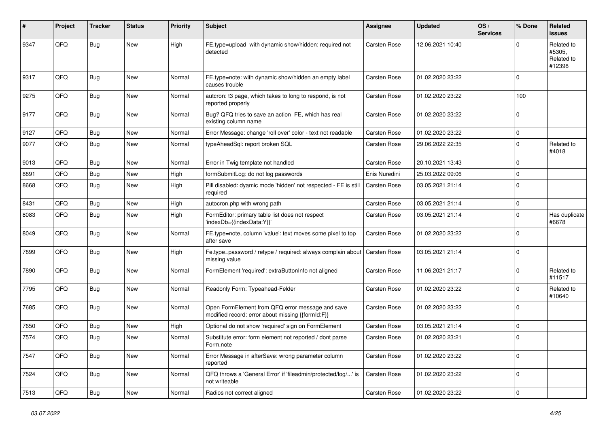| #    | Project | <b>Tracker</b> | <b>Status</b> | <b>Priority</b> | <b>Subject</b>                                                                                        | Assignee      | <b>Updated</b>   | OS/<br><b>Services</b> | % Done    | Related<br><b>issues</b>                     |
|------|---------|----------------|---------------|-----------------|-------------------------------------------------------------------------------------------------------|---------------|------------------|------------------------|-----------|----------------------------------------------|
| 9347 | QFQ     | Bug            | New           | High            | FE.type=upload with dynamic show/hidden: required not<br>detected                                     | Carsten Rose  | 12.06.2021 10:40 |                        | $\Omega$  | Related to<br>#5305,<br>Related to<br>#12398 |
| 9317 | QFQ     | Bug            | New           | Normal          | FE.type=note: with dynamic show/hidden an empty label<br>causes trouble                               | Carsten Rose  | 01.02.2020 23:22 |                        | $\Omega$  |                                              |
| 9275 | QFQ     | Bug            | New           | Normal          | autcron: t3 page, which takes to long to respond, is not<br>reported properly                         | Carsten Rose  | 01.02.2020 23:22 |                        | 100       |                                              |
| 9177 | QFQ     | Bug            | New           | Normal          | Bug? QFQ tries to save an action FE, which has real<br>existing column name                           | Carsten Rose  | 01.02.2020 23:22 |                        | $\Omega$  |                                              |
| 9127 | QFQ     | Bug            | New           | Normal          | Error Message: change 'roll over' color - text not readable                                           | Carsten Rose  | 01.02.2020 23:22 |                        | $\Omega$  |                                              |
| 9077 | QFQ     | Bug            | New           | Normal          | typeAheadSql: report broken SQL                                                                       | Carsten Rose  | 29.06.2022 22:35 |                        | $\Omega$  | Related to<br>#4018                          |
| 9013 | QFQ     | Bug            | New           | Normal          | Error in Twig template not handled                                                                    | Carsten Rose  | 20.10.2021 13:43 |                        | $\Omega$  |                                              |
| 8891 | QFQ     | Bug            | <b>New</b>    | High            | formSubmitLog: do not log passwords                                                                   | Enis Nuredini | 25.03.2022 09:06 |                        | $\Omega$  |                                              |
| 8668 | QFQ     | Bug            | New           | High            | Pill disabled: dyamic mode 'hidden' not respected - FE is still<br>required                           | Carsten Rose  | 03.05.2021 21:14 |                        | $\Omega$  |                                              |
| 8431 | QFQ     | Bug            | New           | High            | autocron.php with wrong path                                                                          | Carsten Rose  | 03.05.2021 21:14 |                        | 0         |                                              |
| 8083 | QFQ     | Bug            | <b>New</b>    | High            | FormEditor: primary table list does not respect<br>'indexDb={{indexData:Y}}'                          | Carsten Rose  | 03.05.2021 21:14 |                        | $\Omega$  | Has duplicate<br>#6678                       |
| 8049 | QFQ     | Bug            | <b>New</b>    | Normal          | FE.type=note, column 'value': text moves some pixel to top<br>after save                              | Carsten Rose  | 01.02.2020 23:22 |                        | $\Omega$  |                                              |
| 7899 | QFQ     | Bug            | New           | High            | Fe.type=password / retype / required: always complain about<br>missing value                          | Carsten Rose  | 03.05.2021 21:14 |                        | $\Omega$  |                                              |
| 7890 | QFQ     | <b>Bug</b>     | <b>New</b>    | Normal          | FormElement 'required': extraButtonInfo not aligned                                                   | Carsten Rose  | 11.06.2021 21:17 |                        | $\Omega$  | Related to<br>#11517                         |
| 7795 | QFQ     | <b>Bug</b>     | <b>New</b>    | Normal          | Readonly Form: Typeahead-Felder                                                                       | Carsten Rose  | 01.02.2020 23:22 |                        | $\Omega$  | Related to<br>#10640                         |
| 7685 | QFQ     | Bug            | New           | Normal          | Open FormElement from QFQ error message and save<br>modified record: error about missing {{formId:F}} | Carsten Rose  | 01.02.2020 23:22 |                        | $\Omega$  |                                              |
| 7650 | QFQ     | <b>Bug</b>     | <b>New</b>    | High            | Optional do not show 'required' sign on FormElement                                                   | Carsten Rose  | 03.05.2021 21:14 |                        | $\Omega$  |                                              |
| 7574 | QFQ     | <b>Bug</b>     | <b>New</b>    | Normal          | Substitute error: form element not reported / dont parse<br>Form.note                                 | Carsten Rose  | 01.02.2020 23:21 |                        | 0         |                                              |
| 7547 | QFQ     | Bug            | New           | Normal          | Error Message in afterSave: wrong parameter column<br>reported                                        | Carsten Rose  | 01.02.2020 23:22 |                        | $\Omega$  |                                              |
| 7524 | QFQ     | <b>Bug</b>     | <b>New</b>    | Normal          | QFQ throws a 'General Error' if 'fileadmin/protected/log/' is<br>not writeable                        | Carsten Rose  | 01.02.2020 23:22 |                        | 0         |                                              |
| 7513 | QFG     | <b>Bug</b>     | New           | Normal          | Radios not correct aligned                                                                            | Carsten Rose  | 01.02.2020 23:22 |                        | $\pmb{0}$ |                                              |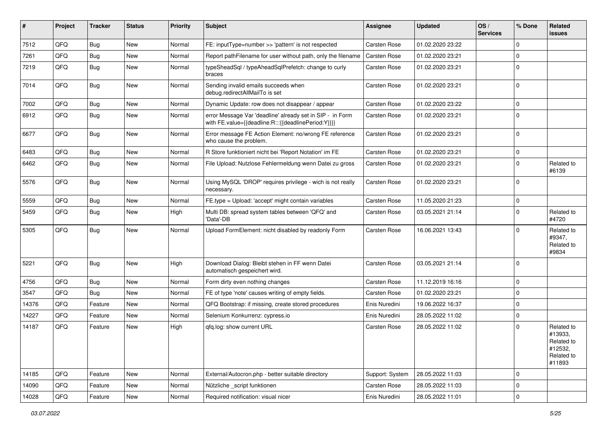| #     | Project | <b>Tracker</b> | <b>Status</b> | <b>Priority</b> | <b>Subject</b>                                                                                                   | Assignee        | <b>Updated</b>   | OS/<br><b>Services</b> | % Done      | Related<br><b>issues</b>                                               |
|-------|---------|----------------|---------------|-----------------|------------------------------------------------------------------------------------------------------------------|-----------------|------------------|------------------------|-------------|------------------------------------------------------------------------|
| 7512  | QFQ     | <b>Bug</b>     | New           | Normal          | FE: inputType=number >> 'pattern' is not respected                                                               | Carsten Rose    | 01.02.2020 23:22 |                        | $\Omega$    |                                                                        |
| 7261  | QFQ     | Bug            | New           | Normal          | Report pathFilename for user without path, only the filename                                                     | Carsten Rose    | 01.02.2020 23:21 |                        | $\Omega$    |                                                                        |
| 7219  | QFQ     | <b>Bug</b>     | New           | Normal          | typeSheadSgl / typeAheadSglPrefetch: change to curly<br>braces                                                   | Carsten Rose    | 01.02.2020 23:21 |                        | $\Omega$    |                                                                        |
| 7014  | QFQ     | Bug            | <b>New</b>    | Normal          | Sending invalid emails succeeds when<br>debug.redirectAllMailTo is set                                           | Carsten Rose    | 01.02.2020 23:21 |                        | $\Omega$    |                                                                        |
| 7002  | QFQ     | <b>Bug</b>     | <b>New</b>    | Normal          | Dynamic Update: row does not disappear / appear                                                                  | Carsten Rose    | 01.02.2020 23:22 |                        | $\Omega$    |                                                                        |
| 6912  | QFQ     | Bug            | <b>New</b>    | Normal          | error Message Var 'deadline' already set in SIP - in Form<br>with FE.value={{deadline:R:::{{deadlinePeriod:Y}}}} | Carsten Rose    | 01.02.2020 23:21 |                        | $\Omega$    |                                                                        |
| 6677  | QFQ     | Bug            | <b>New</b>    | Normal          | Error message FE Action Element: no/wrong FE reference<br>who cause the problem.                                 | Carsten Rose    | 01.02.2020 23:21 |                        | $\Omega$    |                                                                        |
| 6483  | QFQ     | <b>Bug</b>     | <b>New</b>    | Normal          | R Store funktioniert nicht bei 'Report Notation' im FE                                                           | Carsten Rose    | 01.02.2020 23:21 |                        | $\Omega$    |                                                                        |
| 6462  | QFQ     | <b>Bug</b>     | <b>New</b>    | Normal          | File Upload: Nutzlose Fehlermeldung wenn Datei zu gross                                                          | Carsten Rose    | 01.02.2020 23:21 |                        | $\Omega$    | Related to<br>#6139                                                    |
| 5576  | QFQ     | <b>Bug</b>     | New           | Normal          | Using MySQL 'DROP' requires privilege - wich is not really<br>necessary.                                         | Carsten Rose    | 01.02.2020 23:21 |                        | $\Omega$    |                                                                        |
| 5559  | QFQ     | <b>Bug</b>     | <b>New</b>    | Normal          | FE.type = Upload: 'accept' might contain variables                                                               | Carsten Rose    | 11.05.2020 21:23 |                        | $\mathbf 0$ |                                                                        |
| 5459  | QFQ     | <b>Bug</b>     | <b>New</b>    | High            | Multi DB: spread system tables between 'QFQ' and<br>'Data'-DB                                                    | Carsten Rose    | 03.05.2021 21:14 |                        | $\Omega$    | Related to<br>#4720                                                    |
| 5305  | QFQ     | <b>Bug</b>     | New           | Normal          | Upload FormElement: nicht disabled by readonly Form                                                              | Carsten Rose    | 16.06.2021 13:43 |                        | $\Omega$    | Related to<br>#9347,<br>Related to<br>#9834                            |
| 5221  | QFQ     | <b>Bug</b>     | <b>New</b>    | High            | Download Dialog: Bleibt stehen in FF wenn Datei<br>automatisch gespeichert wird.                                 | Carsten Rose    | 03.05.2021 21:14 |                        | $\Omega$    |                                                                        |
| 4756  | QFQ     | <b>Bug</b>     | <b>New</b>    | Normal          | Form dirty even nothing changes                                                                                  | Carsten Rose    | 11.12.2019 16:16 |                        | 0           |                                                                        |
| 3547  | QFQ     | <b>Bug</b>     | New           | Normal          | FE of type 'note' causes writing of empty fields.                                                                | Carsten Rose    | 01.02.2020 23:21 |                        | $\Omega$    |                                                                        |
| 14376 | QFQ     | Feature        | New           | Normal          | QFQ Bootstrap: if missing, create stored procedures                                                              | Enis Nuredini   | 19.06.2022 16:37 |                        | $\Omega$    |                                                                        |
| 14227 | QFQ     | Feature        | New           | Normal          | Selenium Konkurrenz: cypress.io                                                                                  | Enis Nuredini   | 28.05.2022 11:02 |                        | $\Omega$    |                                                                        |
| 14187 | QFQ     | Feature        | New           | High            | qfq.log: show current URL                                                                                        | Carsten Rose    | 28.05.2022 11:02 |                        | $\Omega$    | Related to<br>#13933,<br>Related to<br>#12532,<br>Related to<br>#11893 |
| 14185 | QFQ     | Feature        | New           | Normal          | External/Autocron.php - better suitable directory                                                                | Support: System | 28.05.2022 11:03 |                        | 0           |                                                                        |
| 14090 | QFQ     | Feature        | <b>New</b>    | Normal          | Nützliche _script funktionen                                                                                     | Carsten Rose    | 28.05.2022 11:03 |                        | 0           |                                                                        |
| 14028 | QFQ     | Feature        | New           | Normal          | Required notification: visual nicer                                                                              | Enis Nuredini   | 28.05.2022 11:01 |                        | $\mathbf 0$ |                                                                        |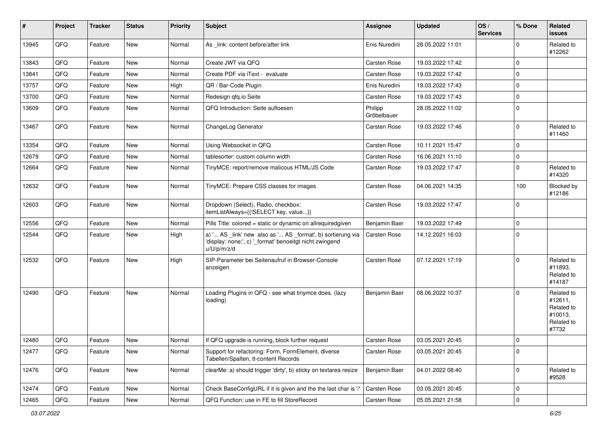| #     | Project | <b>Tracker</b> | <b>Status</b> | <b>Priority</b> | <b>Subject</b>                                                                                                                        | Assignee               | <b>Updated</b>   | OS/<br><b>Services</b> | % Done      | Related<br><b>issues</b>                                              |
|-------|---------|----------------|---------------|-----------------|---------------------------------------------------------------------------------------------------------------------------------------|------------------------|------------------|------------------------|-------------|-----------------------------------------------------------------------|
| 13945 | QFQ     | Feature        | New           | Normal          | As _link: content before/after link                                                                                                   | Enis Nuredini          | 28.05.2022 11:01 |                        | $\Omega$    | Related to<br>#12262                                                  |
| 13843 | QFQ     | Feature        | <b>New</b>    | Normal          | Create JWT via QFQ                                                                                                                    | <b>Carsten Rose</b>    | 19.03.2022 17:42 |                        | 0           |                                                                       |
| 13841 | QFQ     | Feature        | <b>New</b>    | Normal          | Create PDF via iText - evaluate                                                                                                       | <b>Carsten Rose</b>    | 19.03.2022 17:42 |                        | $\mathbf 0$ |                                                                       |
| 13757 | QFQ     | Feature        | New           | High            | QR / Bar-Code Plugin                                                                                                                  | Enis Nuredini          | 19.03.2022 17:43 |                        | $\mathbf 0$ |                                                                       |
| 13700 | QFQ     | Feature        | <b>New</b>    | Normal          | Redesign qfq.io Seite                                                                                                                 | <b>Carsten Rose</b>    | 19.03.2022 17:43 |                        | $\mathbf 0$ |                                                                       |
| 13609 | QFQ     | Feature        | New           | Normal          | QFQ Introduction: Seite aufloesen                                                                                                     | Philipp<br>Gröbelbauer | 28.05.2022 11:02 |                        | 0           |                                                                       |
| 13467 | QFQ     | Feature        | New           | Normal          | ChangeLog Generator                                                                                                                   | <b>Carsten Rose</b>    | 19.03.2022 17:46 |                        | $\mathbf 0$ | Related to<br>#11460                                                  |
| 13354 | QFQ     | Feature        | <b>New</b>    | Normal          | Using Websocket in QFQ                                                                                                                | Carsten Rose           | 10.11.2021 15:47 |                        | $\Omega$    |                                                                       |
| 12679 | QFQ     | Feature        | <b>New</b>    | Normal          | tablesorter: custom column width                                                                                                      | <b>Carsten Rose</b>    | 16.06.2021 11:10 |                        | $\mathbf 0$ |                                                                       |
| 12664 | QFQ     | Feature        | New           | Normal          | TinyMCE: report/remove malicous HTML/JS Code                                                                                          | Carsten Rose           | 19.03.2022 17:47 |                        | 0           | Related to<br>#14320                                                  |
| 12632 | QFQ     | Feature        | New           | Normal          | TinyMCE: Prepare CSS classes for images                                                                                               | <b>Carsten Rose</b>    | 04.06.2021 14:35 |                        | 100         | Blocked by<br>#12186                                                  |
| 12603 | QFQ     | Feature        | <b>New</b>    | Normal          | Dropdown (Select), Radio, checkbox:<br>itemListAlways={{!SELECT key, value}}                                                          | Carsten Rose           | 19.03.2022 17:47 |                        | $\mathbf 0$ |                                                                       |
| 12556 | QFQ     | Feature        | <b>New</b>    | Normal          | Pills Title: colored = static or dynamic on allrequiredgiven                                                                          | Benjamin Baer          | 19.03.2022 17:49 |                        | $\mathbf 0$ |                                                                       |
| 12544 | QFQ     | Feature        | New           | High            | a) ' AS _link' new also as ' AS _format', b) sortierung via<br>'display: none;', c) '_format' benoeitgt nicht zwingend<br>u/U/p/m/z/d | Carsten Rose           | 14.12.2021 16:03 |                        | $\mathbf 0$ |                                                                       |
| 12532 | QFQ     | Feature        | <b>New</b>    | High            | SIP-Parameter bei Seitenaufruf in Browser-Console<br>anzeigen                                                                         | <b>Carsten Rose</b>    | 07.12.2021 17:19 |                        | $\Omega$    | Related to<br>#11893.<br>Related to<br>#14187                         |
| 12490 | QFQ     | Feature        | New           | Normal          | Loading Plugins in QFQ - see what tinymce does. (lazy<br>loading)                                                                     | Benjamin Baer          | 08.06.2022 10:37 |                        | $\Omega$    | Related to<br>#12611,<br>Related to<br>#10013,<br>Related to<br>#7732 |
| 12480 | QFQ     | Feature        | <b>New</b>    | Normal          | If QFQ upgrade is running, block further request                                                                                      | <b>Carsten Rose</b>    | 03.05.2021 20:45 |                        | 0           |                                                                       |
| 12477 | QFQ     | Feature        | New           | Normal          | Support for refactoring: Form, FormElement, diverse<br>Tabellen/Spalten, tt-content Records                                           | Carsten Rose           | 03.05.2021 20:45 |                        | $\mathbf 0$ |                                                                       |
| 12476 | QFQ     | Feature        | New           | Normal          | clearMe: a) should trigger 'dirty', b) sticky on textarea resize                                                                      | Benjamin Baer          | 04.01.2022 08:40 |                        | $\mathbf 0$ | Related to<br>#9528                                                   |
| 12474 | QFQ     | Feature        | New           | Normal          | Check BaseConfigURL if it is given and the the last char is '/'                                                                       | Carsten Rose           | 03.05.2021 20:45 |                        | 0           |                                                                       |
| 12465 | QFG     | Feature        | New           | Normal          | QFQ Function: use in FE to fill StoreRecord                                                                                           | Carsten Rose           | 05.05.2021 21:58 |                        | $\mathbf 0$ |                                                                       |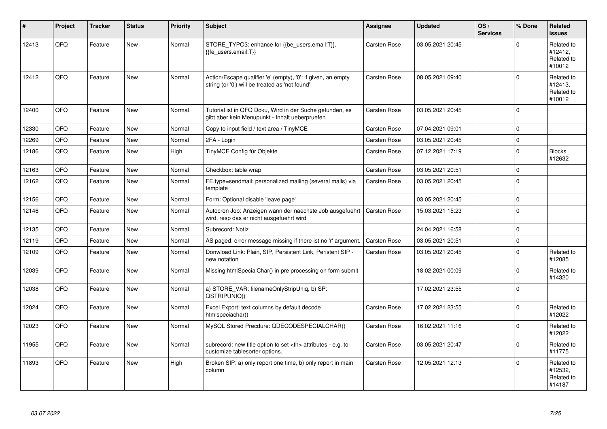| ∦     | Project | <b>Tracker</b> | <b>Status</b> | <b>Priority</b> | <b>Subject</b>                                                                                                 | <b>Assignee</b>                                        | <b>Updated</b>   | OS/<br><b>Services</b> | % Done      | <b>Related</b><br><b>issues</b>               |                      |
|-------|---------|----------------|---------------|-----------------|----------------------------------------------------------------------------------------------------------------|--------------------------------------------------------|------------------|------------------------|-------------|-----------------------------------------------|----------------------|
| 12413 | QFQ     | Feature        | <b>New</b>    | Normal          | STORE_TYPO3: enhance for {{be_users.email:T}},<br>{{fe users.email:T}}                                         | Carsten Rose                                           | 03.05.2021 20:45 |                        | $\Omega$    | Related to<br>#12412.<br>Related to<br>#10012 |                      |
| 12412 | QFQ     | Feature        | <b>New</b>    | Normal          | Action/Escape qualifier 'e' (empty), '0': if given, an empty<br>string (or '0') will be treated as 'not found' | Carsten Rose                                           | 08.05.2021 09:40 |                        | $\Omega$    | Related to<br>#12413,<br>Related to<br>#10012 |                      |
| 12400 | QFQ     | Feature        | New           | Normal          | Tutorial ist in QFQ Doku, Wird in der Suche gefunden, es<br>gibt aber kein Menupunkt - Inhalt ueberpruefen     | Carsten Rose                                           | 03.05.2021 20:45 |                        | $\Omega$    |                                               |                      |
| 12330 | QFQ     | Feature        | <b>New</b>    | Normal          | Copy to input field / text area / TinyMCE                                                                      | Carsten Rose                                           | 07.04.2021 09:01 |                        | $\mathbf 0$ |                                               |                      |
| 12269 | QFQ     | Feature        | New           | Normal          | 2FA - Login                                                                                                    | Carsten Rose                                           | 03.05.2021 20:45 |                        | $\mathbf 0$ |                                               |                      |
| 12186 | QFQ     | Feature        | <b>New</b>    | High            | TinyMCE Config für Objekte                                                                                     | Carsten Rose                                           | 07.12.2021 17:19 |                        | $\Omega$    | <b>Blocks</b><br>#12632                       |                      |
| 12163 | QFQ     | Feature        | <b>New</b>    | Normal          | Checkbox: table wrap                                                                                           | Carsten Rose                                           | 03.05.2021 20:51 |                        | $\Omega$    |                                               |                      |
| 12162 | QFQ     | Feature        | New           | Normal          | FE.type=sendmail: personalized mailing (several mails) via<br>template                                         | Carsten Rose                                           | 03.05.2021 20:45 |                        | $\Omega$    |                                               |                      |
| 12156 | QFQ     | Feature        | New           | Normal          | Form: Optional disable 'leave page'                                                                            |                                                        | 03.05.2021 20:45 |                        | $\mathbf 0$ |                                               |                      |
| 12146 | QFQ     | Feature        | New           | Normal          | Autocron Job: Anzeigen wann der naechste Job ausgefuehrt<br>wird, resp das er nicht ausgefuehrt wird           | Carsten Rose                                           | 15.03.2021 15:23 |                        | $\mathbf 0$ |                                               |                      |
| 12135 | QFQ     | Feature        | New           | Normal          | Subrecord: Notiz                                                                                               |                                                        | 24.04.2021 16:58 |                        | $\Omega$    |                                               |                      |
| 12119 | QFQ     | Feature        | New           | Normal          | AS paged: error message missing if there ist no 'r' argument.                                                  | Carsten Rose                                           | 03.05.2021 20:51 |                        | 0           |                                               |                      |
| 12109 | QFQ     | Feature        | <b>New</b>    | Normal          | Donwload Link: Plain, SIP, Persistent Link, Peristent SIP -<br>new notation                                    | Carsten Rose                                           | 03.05.2021 20:45 |                        | $\Omega$    | Related to<br>#12085                          |                      |
| 12039 | QFQ     | Feature        | New           | Normal          | Missing htmlSpecialChar() in pre processing on form submit                                                     |                                                        | 18.02.2021 00:09 |                        | $\mathbf 0$ | Related to<br>#14320                          |                      |
| 12038 | QFQ     | Feature        | <b>New</b>    | Normal          | a) STORE_VAR: filenameOnlyStripUniq, b) SP:<br>QSTRIPUNIQ()                                                    |                                                        | 17.02.2021 23:55 |                        | 0           |                                               |                      |
| 12024 | QFQ     | Feature        | New           | Normal          | Excel Export: text columns by default decode<br>htmlspeciachar()                                               | Carsten Rose                                           | 17.02.2021 23:55 |                        | $\Omega$    | Related to<br>#12022                          |                      |
| 12023 | QFQ     | Feature        | New           | Normal          | MySQL Stored Precdure: QDECODESPECIALCHAR()                                                                    | Carsten Rose                                           | 16.02.2021 11:16 |                        | $\Omega$    | Related to<br>#12022                          |                      |
| 11955 | QFQ     | Feature        | New           | Normal          | subrecord: new title option to set <th> attributes - e.g. to<br/>customize tablesorter options.</th>           | attributes - e.g. to<br>customize tablesorter options. | Carsten Rose     | 03.05.2021 20:47       |             | 0                                             | Related to<br>#11775 |
| 11893 | QFQ     | Feature        | New           | High            | Broken SIP: a) only report one time, b) only report in main<br>column                                          | Carsten Rose                                           | 12.05.2021 12:13 |                        | $\Omega$    | Related to<br>#12532,<br>Related to<br>#14187 |                      |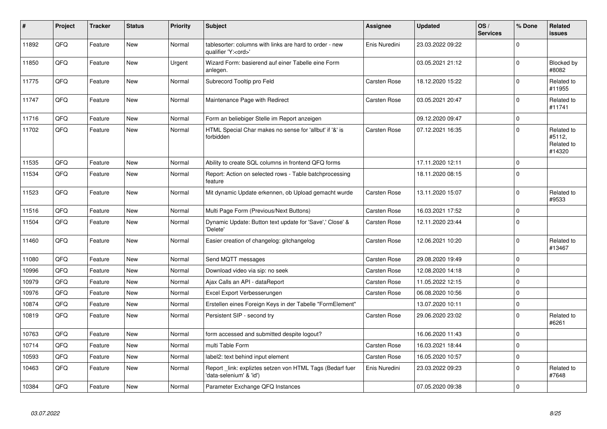| #     | Project | <b>Tracker</b> | <b>Status</b> | <b>Priority</b> | Subject                                                                               | Assignee            | <b>Updated</b>   | OS/<br><b>Services</b> | % Done      | Related<br>issues                            |
|-------|---------|----------------|---------------|-----------------|---------------------------------------------------------------------------------------|---------------------|------------------|------------------------|-------------|----------------------------------------------|
| 11892 | QFQ     | Feature        | <b>New</b>    | Normal          | tablesorter: columns with links are hard to order - new<br>qualifier 'Y: <ord>'</ord> | Enis Nuredini       | 23.03.2022 09:22 |                        | $\Omega$    |                                              |
| 11850 | QFQ     | Feature        | <b>New</b>    | Urgent          | Wizard Form: basierend auf einer Tabelle eine Form<br>anlegen.                        |                     | 03.05.2021 21:12 |                        | $\pmb{0}$   | Blocked by<br>#8082                          |
| 11775 | QFQ     | Feature        | <b>New</b>    | Normal          | Subrecord Tooltip pro Feld                                                            | Carsten Rose        | 18.12.2020 15:22 |                        | $\Omega$    | Related to<br>#11955                         |
| 11747 | QFQ     | Feature        | <b>New</b>    | Normal          | Maintenance Page with Redirect                                                        | Carsten Rose        | 03.05.2021 20:47 |                        | $\Omega$    | Related to<br>#11741                         |
| 11716 | QFQ     | Feature        | <b>New</b>    | Normal          | Form an beliebiger Stelle im Report anzeigen                                          |                     | 09.12.2020 09:47 |                        | $\Omega$    |                                              |
| 11702 | QFQ     | Feature        | New           | Normal          | HTML Special Char makes no sense for 'allbut' if '&' is<br>forbidden                  | Carsten Rose        | 07.12.2021 16:35 |                        | 0           | Related to<br>#5112,<br>Related to<br>#14320 |
| 11535 | QFQ     | Feature        | <b>New</b>    | Normal          | Ability to create SQL columns in frontend QFQ forms                                   |                     | 17.11.2020 12:11 |                        | $\mathbf 0$ |                                              |
| 11534 | QFQ     | Feature        | New           | Normal          | Report: Action on selected rows - Table batchprocessing<br>feature                    |                     | 18.11.2020 08:15 |                        | $\Omega$    |                                              |
| 11523 | QFQ     | Feature        | <b>New</b>    | Normal          | Mit dynamic Update erkennen, ob Upload gemacht wurde                                  | Carsten Rose        | 13.11.2020 15:07 |                        | 0           | Related to<br>#9533                          |
| 11516 | QFQ     | Feature        | <b>New</b>    | Normal          | Multi Page Form (Previous/Next Buttons)                                               | Carsten Rose        | 16.03.2021 17:52 |                        | 0           |                                              |
| 11504 | QFQ     | Feature        | <b>New</b>    | Normal          | Dynamic Update: Button text update for 'Save',' Close' &<br>'Delete'                  | Carsten Rose        | 12.11.2020 23:44 |                        | $\Omega$    |                                              |
| 11460 | QFQ     | Feature        | <b>New</b>    | Normal          | Easier creation of changelog: gitchangelog                                            | Carsten Rose        | 12.06.2021 10:20 |                        | $\Omega$    | Related to<br>#13467                         |
| 11080 | QFQ     | Feature        | <b>New</b>    | Normal          | Send MQTT messages                                                                    | Carsten Rose        | 29.08.2020 19:49 |                        | $\mathbf 0$ |                                              |
| 10996 | QFQ     | Feature        | <b>New</b>    | Normal          | Download video via sip: no seek                                                       | Carsten Rose        | 12.08.2020 14:18 |                        | $\Omega$    |                                              |
| 10979 | QFQ     | Feature        | <b>New</b>    | Normal          | Ajax Calls an API - dataReport                                                        | Carsten Rose        | 11.05.2022 12:15 |                        | 0           |                                              |
| 10976 | QFQ     | Feature        | New           | Normal          | Excel Export Verbesserungen                                                           | Carsten Rose        | 06.08.2020 10:56 |                        | $\Omega$    |                                              |
| 10874 | QFQ     | Feature        | New           | Normal          | Erstellen eines Foreign Keys in der Tabelle "FormElement"                             |                     | 13.07.2020 10:11 |                        | $\mathbf 0$ |                                              |
| 10819 | QFQ     | Feature        | <b>New</b>    | Normal          | Persistent SIP - second try                                                           | Carsten Rose        | 29.06.2020 23:02 |                        | $\pmb{0}$   | Related to<br>#6261                          |
| 10763 | QFQ     | Feature        | <b>New</b>    | Normal          | form accessed and submitted despite logout?                                           |                     | 16.06.2020 11:43 |                        | $\Omega$    |                                              |
| 10714 | QFQ     | Feature        | <b>New</b>    | Normal          | multi Table Form                                                                      | Carsten Rose        | 16.03.2021 18:44 |                        | 0           |                                              |
| 10593 | QFQ     | Feature        | New           | Normal          | label2: text behind input element                                                     | <b>Carsten Rose</b> | 16.05.2020 10:57 |                        | $\Omega$    |                                              |
| 10463 | QFQ     | Feature        | New           | Normal          | Report _link: expliztes setzen von HTML Tags (Bedarf fuer<br>'data-selenium' & 'id')  | Enis Nuredini       | 23.03.2022 09:23 |                        | $\Omega$    | Related to<br>#7648                          |
| 10384 | QFQ     | Feature        | New           | Normal          | Parameter Exchange QFQ Instances                                                      |                     | 07.05.2020 09:38 |                        | $\Omega$    |                                              |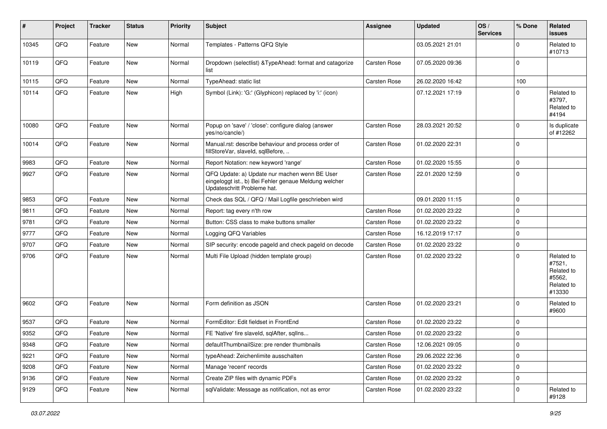| ∦     | Project        | <b>Tracker</b> | <b>Status</b> | <b>Priority</b> | Subject                                                                                                                               | <b>Assignee</b> | <b>Updated</b>   | OS/<br><b>Services</b> | % Done      | Related<br>issues                                                    |
|-------|----------------|----------------|---------------|-----------------|---------------------------------------------------------------------------------------------------------------------------------------|-----------------|------------------|------------------------|-------------|----------------------------------------------------------------------|
| 10345 | QFQ            | Feature        | New           | Normal          | Templates - Patterns QFQ Style                                                                                                        |                 | 03.05.2021 21:01 |                        | $\Omega$    | Related to<br>#10713                                                 |
| 10119 | QFQ            | Feature        | New           | Normal          | Dropdown (selectlist) & TypeAhead: format and catagorize<br>list                                                                      | Carsten Rose    | 07.05.2020 09:36 |                        | $\Omega$    |                                                                      |
| 10115 | QFQ            | Feature        | <b>New</b>    | Normal          | TypeAhead: static list                                                                                                                | Carsten Rose    | 26.02.2020 16:42 |                        | 100         |                                                                      |
| 10114 | QFQ            | Feature        | <b>New</b>    | High            | Symbol (Link): 'G:' (Glyphicon) replaced by 'i:' (icon)                                                                               |                 | 07.12.2021 17:19 |                        | $\Omega$    | Related to<br>#3797,<br>Related to<br>#4194                          |
| 10080 | QFQ            | Feature        | <b>New</b>    | Normal          | Popup on 'save' / 'close': configure dialog (answer<br>yes/no/cancle/)                                                                | Carsten Rose    | 28.03.2021 20:52 |                        | $\mathbf 0$ | Is duplicate<br>of #12262                                            |
| 10014 | QFQ            | Feature        | <b>New</b>    | Normal          | Manual.rst: describe behaviour and process order of<br>fillStoreVar, slaveId, sqlBefore,                                              | Carsten Rose    | 01.02.2020 22:31 |                        | $\Omega$    |                                                                      |
| 9983  | QFQ            | Feature        | <b>New</b>    | Normal          | Report Notation: new keyword 'range'                                                                                                  | Carsten Rose    | 01.02.2020 15:55 |                        | $\Omega$    |                                                                      |
| 9927  | QFQ            | Feature        | <b>New</b>    | Normal          | QFQ Update: a) Update nur machen wenn BE User<br>eingeloggt ist., b) Bei Fehler genaue Meldung welcher<br>Updateschritt Probleme hat. | Carsten Rose    | 22.01.2020 12:59 |                        | $\Omega$    |                                                                      |
| 9853  | QFQ            | Feature        | <b>New</b>    | Normal          | Check das SQL / QFQ / Mail Logfile geschrieben wird                                                                                   |                 | 09.01.2020 11:15 |                        | 0           |                                                                      |
| 9811  | QFQ            | Feature        | New           | Normal          | Report: tag every n'th row                                                                                                            | Carsten Rose    | 01.02.2020 23:22 |                        | $\Omega$    |                                                                      |
| 9781  | QFQ            | Feature        | <b>New</b>    | Normal          | Button: CSS class to make buttons smaller                                                                                             | Carsten Rose    | 01.02.2020 23:22 |                        | $\Omega$    |                                                                      |
| 9777  | QFQ            | Feature        | New           | Normal          | Logging QFQ Variables                                                                                                                 | Carsten Rose    | 16.12.2019 17:17 |                        | $\Omega$    |                                                                      |
| 9707  | QFQ            | Feature        | New           | Normal          | SIP security: encode pageId and check pageId on decode                                                                                | Carsten Rose    | 01.02.2020 23:22 |                        | $\mathbf 0$ |                                                                      |
| 9706  | QFQ            | Feature        | <b>New</b>    | Normal          | Multi File Upload (hidden template group)                                                                                             | Carsten Rose    | 01.02.2020 23:22 |                        | $\Omega$    | Related to<br>#7521,<br>Related to<br>#5562,<br>Related to<br>#13330 |
| 9602  | QFQ            | Feature        | <b>New</b>    | Normal          | Form definition as JSON                                                                                                               | Carsten Rose    | 01.02.2020 23:21 |                        | $\Omega$    | Related to<br>#9600                                                  |
| 9537  | QFQ            | Feature        | <b>New</b>    | Normal          | FormEditor: Edit fieldset in FrontEnd                                                                                                 | Carsten Rose    | 01.02.2020 23:22 |                        | $\Omega$    |                                                                      |
| 9352  | QFQ            | Feature        | New           | Normal          | FE 'Native' fire slaveld, sqlAfter, sqlIns                                                                                            | Carsten Rose    | 01.02.2020 23:22 |                        | $\mathbf 0$ |                                                                      |
| 9348  | $\mathsf{QFQ}$ | Feature        | New           | Normal          | defaultThumbnailSize: pre render thumbnails                                                                                           | Carsten Rose    | 12.06.2021 09:05 |                        | 0           |                                                                      |
| 9221  | QFQ            | Feature        | New           | Normal          | typeAhead: Zeichenlimite ausschalten                                                                                                  | Carsten Rose    | 29.06.2022 22:36 |                        | 0           |                                                                      |
| 9208  | QFQ            | Feature        | <b>New</b>    | Normal          | Manage 'recent' records                                                                                                               | Carsten Rose    | 01.02.2020 23:22 |                        | 0           |                                                                      |
| 9136  | QFQ            | Feature        | New           | Normal          | Create ZIP files with dynamic PDFs                                                                                                    | Carsten Rose    | 01.02.2020 23:22 |                        | 0           |                                                                      |
| 9129  | QFQ            | Feature        | New           | Normal          | sqlValidate: Message as notification, not as error                                                                                    | Carsten Rose    | 01.02.2020 23:22 |                        | 0           | Related to<br>#9128                                                  |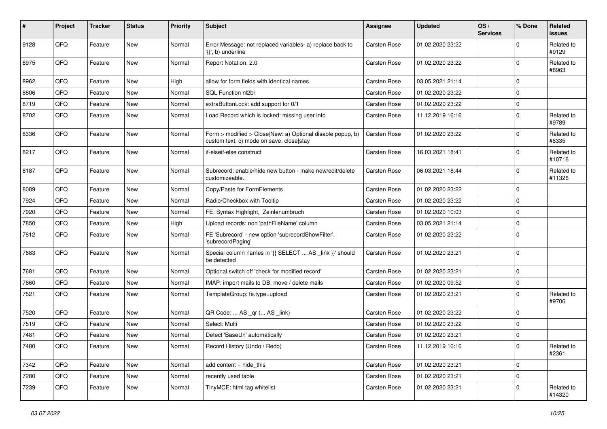| #    | Project | <b>Tracker</b> | <b>Status</b> | <b>Priority</b> | Subject                                                                                                | Assignee     | <b>Updated</b>   | OS/<br><b>Services</b> | % Done      | Related<br><b>issues</b> |
|------|---------|----------------|---------------|-----------------|--------------------------------------------------------------------------------------------------------|--------------|------------------|------------------------|-------------|--------------------------|
| 9128 | QFQ     | Feature        | <b>New</b>    | Normal          | Error Message: not replaced variables- a) replace back to<br>'{{', b) underline                        | Carsten Rose | 01.02.2020 23:22 |                        | $\Omega$    | Related to<br>#9129      |
| 8975 | QFQ     | Feature        | New           | Normal          | Report Notation: 2.0                                                                                   | Carsten Rose | 01.02.2020 23:22 |                        | $\Omega$    | Related to<br>#8963      |
| 8962 | QFQ     | Feature        | <b>New</b>    | High            | allow for form fields with identical names                                                             | Carsten Rose | 03.05.2021 21:14 |                        | $\mathbf 0$ |                          |
| 8806 | QFQ     | Feature        | <b>New</b>    | Normal          | <b>SQL Function nl2br</b>                                                                              | Carsten Rose | 01.02.2020 23:22 |                        | $\Omega$    |                          |
| 8719 | QFQ     | Feature        | <b>New</b>    | Normal          | extraButtonLock: add support for 0/1                                                                   | Carsten Rose | 01.02.2020 23:22 |                        | 0           |                          |
| 8702 | QFQ     | Feature        | <b>New</b>    | Normal          | Load Record which is locked: missing user info                                                         | Carsten Rose | 11.12.2019 16:16 |                        | $\Omega$    | Related to<br>#9789      |
| 8336 | QFQ     | Feature        | <b>New</b>    | Normal          | Form > modified > Close New: a) Optional disable popup, b)<br>custom text, c) mode on save: close stay | Carsten Rose | 01.02.2020 23:22 |                        | $\mathbf 0$ | Related to<br>#8335      |
| 8217 | QFQ     | Feature        | New           | Normal          | if-elseif-else construct                                                                               | Carsten Rose | 16.03.2021 18:41 |                        | $\Omega$    | Related to<br>#10716     |
| 8187 | QFQ     | Feature        | New           | Normal          | Subrecord: enable/hide new button - make new/edit/delete<br>customizeable.                             | Carsten Rose | 06.03.2021 18:44 |                        | $\mathbf 0$ | Related to<br>#11326     |
| 8089 | QFQ     | Feature        | <b>New</b>    | Normal          | Copy/Paste for FormElements                                                                            | Carsten Rose | 01.02.2020 23:22 |                        | $\mathbf 0$ |                          |
| 7924 | QFQ     | Feature        | <b>New</b>    | Normal          | Radio/Checkbox with Tooltip                                                                            | Carsten Rose | 01.02.2020 23:22 |                        | $\mathbf 0$ |                          |
| 7920 | QFQ     | Feature        | New           | Normal          | FE: Syntax Highlight, Zeinlenumbruch                                                                   | Carsten Rose | 01.02.2020 10:03 |                        | 0           |                          |
| 7850 | QFQ     | Feature        | <b>New</b>    | High            | Upload records: non 'pathFileName' column                                                              | Carsten Rose | 03.05.2021 21:14 |                        | $\mathbf 0$ |                          |
| 7812 | QFQ     | Feature        | <b>New</b>    | Normal          | FE 'Subrecord' - new option 'subrecordShowFilter',<br>'subrecordPaging'                                | Carsten Rose | 01.02.2020 23:22 |                        | $\Omega$    |                          |
| 7683 | QFQ     | Feature        | <b>New</b>    | Normal          | Special column names in '{{ SELECT  AS _link }}' should<br>be detected                                 | Carsten Rose | 01.02.2020 23:21 |                        | $\mathbf 0$ |                          |
| 7681 | QFQ     | Feature        | <b>New</b>    | Normal          | Optional switch off 'check for modified record'                                                        | Carsten Rose | 01.02.2020 23:21 |                        | $\mathbf 0$ |                          |
| 7660 | QFQ     | Feature        | <b>New</b>    | Normal          | IMAP: import mails to DB, move / delete mails                                                          | Carsten Rose | 01.02.2020 09:52 |                        | 0           |                          |
| 7521 | QFQ     | Feature        | New           | Normal          | TemplateGroup: fe.type=upload                                                                          | Carsten Rose | 01.02.2020 23:21 |                        | 0           | Related to<br>#9706      |
| 7520 | QFQ     | Feature        | <b>New</b>    | Normal          | QR Code:  AS _qr ( AS _link)                                                                           | Carsten Rose | 01.02.2020 23:22 |                        | $\Omega$    |                          |
| 7519 | QFQ     | Feature        | New           | Normal          | Select: Multi                                                                                          | Carsten Rose | 01.02.2020 23:22 |                        | $\mathbf 0$ |                          |
| 7481 | QFQ     | Feature        | New           | Normal          | Detect 'BaseUrl' automatically                                                                         | Carsten Rose | 01.02.2020 23:21 |                        | 0           |                          |
| 7480 | QFQ     | Feature        | <b>New</b>    | Normal          | Record History (Undo / Redo)                                                                           | Carsten Rose | 11.12.2019 16:16 |                        | 0           | Related to<br>#2361      |
| 7342 | QFQ     | Feature        | New           | Normal          | add content = hide_this                                                                                | Carsten Rose | 01.02.2020 23:21 |                        | $\mathbf 0$ |                          |
| 7280 | QFQ     | Feature        | New           | Normal          | recently used table                                                                                    | Carsten Rose | 01.02.2020 23:21 |                        | $\pmb{0}$   |                          |
| 7239 | QFQ     | Feature        | New           | Normal          | TinyMCE: html tag whitelist                                                                            | Carsten Rose | 01.02.2020 23:21 |                        | 0           | Related to<br>#14320     |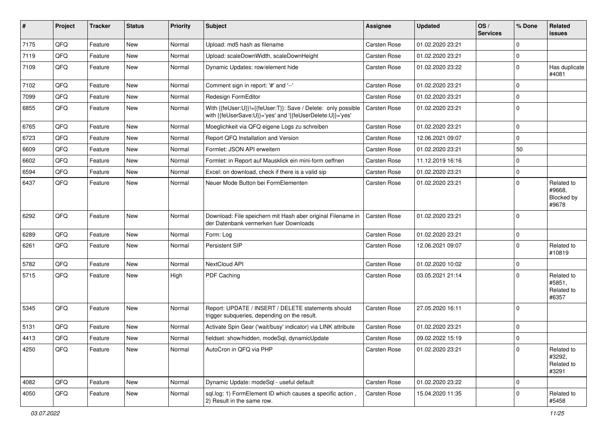| $\vert$ # | Project | <b>Tracker</b> | <b>Status</b> | <b>Priority</b> | <b>Subject</b>                                                                                                             | <b>Assignee</b> | <b>Updated</b>   | OS/<br><b>Services</b> | % Done      | Related<br>issues                           |
|-----------|---------|----------------|---------------|-----------------|----------------------------------------------------------------------------------------------------------------------------|-----------------|------------------|------------------------|-------------|---------------------------------------------|
| 7175      | QFQ     | Feature        | <b>New</b>    | Normal          | Upload: md5 hash as filename                                                                                               | Carsten Rose    | 01.02.2020 23:21 |                        | $\Omega$    |                                             |
| 7119      | QFQ     | Feature        | New           | Normal          | Upload: scaleDownWidth, scaleDownHeight                                                                                    | Carsten Rose    | 01.02.2020 23:21 |                        | $\mathbf 0$ |                                             |
| 7109      | QFQ     | Feature        | New           | Normal          | Dynamic Updates: row/element hide                                                                                          | Carsten Rose    | 01.02.2020 23:22 |                        | $\mathbf 0$ | Has duplicate<br>#4081                      |
| 7102      | QFQ     | Feature        | New           | Normal          | Comment sign in report: '#' and '--'                                                                                       | Carsten Rose    | 01.02.2020 23:21 |                        | $\Omega$    |                                             |
| 7099      | QFQ     | Feature        | <b>New</b>    | Normal          | Redesign FormEditor                                                                                                        | Carsten Rose    | 01.02.2020 23:21 |                        | $\Omega$    |                                             |
| 6855      | QFQ     | Feature        | New           | Normal          | With {{feUser:U}}!={{feUser:T}}: Save / Delete: only possible<br>with {{feUserSave:U}}='yes' and '{{feUserDelete:U}}='yes' | Carsten Rose    | 01.02.2020 23:21 |                        | $\mathbf 0$ |                                             |
| 6765      | QFQ     | Feature        | <b>New</b>    | Normal          | Moeglichkeit via QFQ eigene Logs zu schreiben                                                                              | Carsten Rose    | 01.02.2020 23:21 |                        | $\Omega$    |                                             |
| 6723      | QFQ     | Feature        | New           | Normal          | Report QFQ Installation and Version                                                                                        | Carsten Rose    | 12.06.2021 09:07 |                        | 0           |                                             |
| 6609      | QFQ     | Feature        | New           | Normal          | Formlet: JSON API erweitern                                                                                                | Carsten Rose    | 01.02.2020 23:21 |                        | 50          |                                             |
| 6602      | QFQ     | Feature        | New           | Normal          | Formlet: in Report auf Mausklick ein mini-form oeffnen                                                                     | Carsten Rose    | 11.12.2019 16:16 |                        | $\Omega$    |                                             |
| 6594      | QFQ     | Feature        | New           | Normal          | Excel: on download, check if there is a valid sip                                                                          | Carsten Rose    | 01.02.2020 23:21 |                        | $\mathbf 0$ |                                             |
| 6437      | QFQ     | Feature        | New           | Normal          | Neuer Mode Button bei FormElementen                                                                                        | Carsten Rose    | 01.02.2020 23:21 |                        | $\Omega$    | Related to<br>#9668,<br>Blocked by<br>#9678 |
| 6292      | QFQ     | Feature        | <b>New</b>    | Normal          | Download: File speichern mit Hash aber original Filename in<br>der Datenbank vermerken fuer Downloads                      | Carsten Rose    | 01.02.2020 23:21 |                        | $\mathbf 0$ |                                             |
| 6289      | QFQ     | Feature        | <b>New</b>    | Normal          | Form: Log                                                                                                                  | Carsten Rose    | 01.02.2020 23:21 |                        | $\mathbf 0$ |                                             |
| 6261      | QFQ     | Feature        | New           | Normal          | Persistent SIP                                                                                                             | Carsten Rose    | 12.06.2021 09:07 |                        | $\Omega$    | Related to<br>#10819                        |
| 5782      | QFQ     | Feature        | New           | Normal          | NextCloud API                                                                                                              | Carsten Rose    | 01.02.2020 10:02 |                        | 0           |                                             |
| 5715      | QFQ     | Feature        | <b>New</b>    | High            | PDF Caching                                                                                                                | Carsten Rose    | 03.05.2021 21:14 |                        | $\mathbf 0$ | Related to<br>#5851,<br>Related to<br>#6357 |
| 5345      | QFQ     | Feature        | New           | Normal          | Report: UPDATE / INSERT / DELETE statements should<br>trigger subgueries, depending on the result.                         | Carsten Rose    | 27.05.2020 16:11 |                        | $\Omega$    |                                             |
| 5131      | QFQ     | Feature        | New           | Normal          | Activate Spin Gear ('wait/busy' indicator) via LINK attribute                                                              | Carsten Rose    | 01.02.2020 23:21 |                        | $\Omega$    |                                             |
| 4413      | QFQ     | Feature        | New           | Normal          | fieldset: show/hidden, modeSql, dynamicUpdate                                                                              | Carsten Rose    | 09.02.2022 15:19 |                        | $\mathbf 0$ |                                             |
| 4250      | QFQ     | Feature        | New           | Normal          | AutoCron in QFQ via PHP                                                                                                    | Carsten Rose    | 01.02.2020 23:21 |                        | 0           | Related to<br>#3292,<br>Related to<br>#3291 |
| 4082      | QFQ     | Feature        | New           | Normal          | Dynamic Update: modeSql - useful default                                                                                   | Carsten Rose    | 01.02.2020 23:22 |                        | 0           |                                             |
| 4050      | QFQ     | Feature        | New           | Normal          | sql.log: 1) FormElement ID which causes a specific action,<br>2) Result in the same row.                                   | Carsten Rose    | 15.04.2020 11:35 |                        | 0           | Related to<br>#5458                         |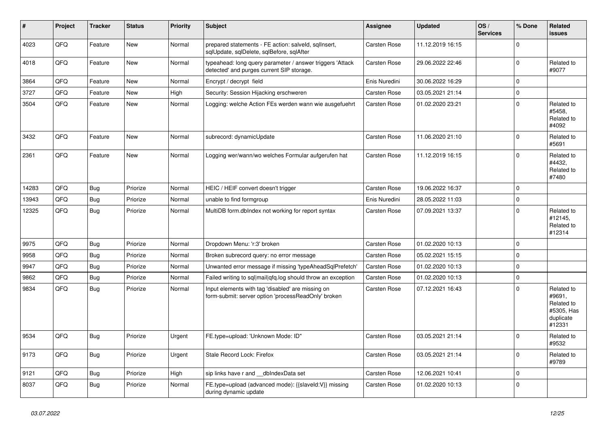| #     | Project | <b>Tracker</b> | <b>Status</b> | <b>Priority</b> | <b>Subject</b>                                                                                           | <b>Assignee</b> | <b>Updated</b>   | OS/<br><b>Services</b> | % Done       | Related<br><b>issues</b>                                                |
|-------|---------|----------------|---------------|-----------------|----------------------------------------------------------------------------------------------------------|-----------------|------------------|------------------------|--------------|-------------------------------------------------------------------------|
| 4023  | QFQ     | Feature        | <b>New</b>    | Normal          | prepared statements - FE action: salveld, sqllnsert,<br>sqlUpdate, sqlDelete, sqlBefore, sqlAfter        | Carsten Rose    | 11.12.2019 16:15 |                        | $\mathbf 0$  |                                                                         |
| 4018  | QFQ     | Feature        | <b>New</b>    | Normal          | typeahead: long query parameter / answer triggers 'Attack<br>detected' and purges current SIP storage.   | Carsten Rose    | 29.06.2022 22:46 |                        | $\mathbf 0$  | Related to<br>#9077                                                     |
| 3864  | QFQ     | Feature        | <b>New</b>    | Normal          | Encrypt / decrypt field                                                                                  | Enis Nuredini   | 30.06.2022 16:29 |                        | $\mathbf 0$  |                                                                         |
| 3727  | QFQ     | Feature        | <b>New</b>    | High            | Security: Session Hijacking erschweren                                                                   | Carsten Rose    | 03.05.2021 21:14 |                        | $\mathbf 0$  |                                                                         |
| 3504  | QFQ     | Feature        | <b>New</b>    | Normal          | Logging: welche Action FEs werden wann wie ausgefuehrt                                                   | Carsten Rose    | 01.02.2020 23:21 |                        | $\mathbf{0}$ | Related to<br>#5458,<br>Related to<br>#4092                             |
| 3432  | QFQ     | Feature        | <b>New</b>    | Normal          | subrecord: dynamicUpdate                                                                                 | Carsten Rose    | 11.06.2020 21:10 |                        | $\Omega$     | Related to<br>#5691                                                     |
| 2361  | QFQ     | Feature        | New           | Normal          | Logging wer/wann/wo welches Formular aufgerufen hat                                                      | Carsten Rose    | 11.12.2019 16:15 |                        | $\mathbf{0}$ | Related to<br>#4432,<br>Related to<br>#7480                             |
| 14283 | QFQ     | <b>Bug</b>     | Priorize      | Normal          | HEIC / HEIF convert doesn't trigger                                                                      | Carsten Rose    | 19.06.2022 16:37 |                        | $\mathbf 0$  |                                                                         |
| 13943 | QFQ     | <b>Bug</b>     | Priorize      | Normal          | unable to find formgroup                                                                                 | Enis Nuredini   | 28.05.2022 11:03 |                        | $\mathbf 0$  |                                                                         |
| 12325 | QFQ     | <b>Bug</b>     | Priorize      | Normal          | MultiDB form.dblndex not working for report syntax                                                       | Carsten Rose    | 07.09.2021 13:37 |                        | $\Omega$     | Related to<br>#12145,<br>Related to<br>#12314                           |
| 9975  | QFQ     | <b>Bug</b>     | Priorize      | Normal          | Dropdown Menu: 'r:3' broken                                                                              | Carsten Rose    | 01.02.2020 10:13 |                        | $\mathbf 0$  |                                                                         |
| 9958  | QFQ     | <b>Bug</b>     | Priorize      | Normal          | Broken subrecord query: no error message                                                                 | Carsten Rose    | 05.02.2021 15:15 |                        | $\mathbf 0$  |                                                                         |
| 9947  | QFQ     | <b>Bug</b>     | Priorize      | Normal          | Unwanted error message if missing 'typeAheadSqlPrefetch'                                                 | Carsten Rose    | 01.02.2020 10:13 |                        | $\mathbf 0$  |                                                                         |
| 9862  | QFQ     | <b>Bug</b>     | Priorize      | Normal          | Failed writing to sql mail qfq.log should throw an exception                                             | Carsten Rose    | 01.02.2020 10:13 |                        | $\mathbf 0$  |                                                                         |
| 9834  | QFQ     | <b>Bug</b>     | Priorize      | Normal          | Input elements with tag 'disabled' are missing on<br>form-submit: server option 'processReadOnly' broken | Carsten Rose    | 07.12.2021 16:43 |                        | $\mathbf 0$  | Related to<br>#9691,<br>Related to<br>#5305, Has<br>duplicate<br>#12331 |
| 9534  | QFQ     | Bug            | Priorize      | Urgent          | FE.type=upload: 'Unknown Mode: ID"                                                                       | Carsten Rose    | 03.05.2021 21:14 |                        | $\mathbf{0}$ | Related to<br>#9532                                                     |
| 9173  | QFQ     | Bug            | Priorize      | Urgent          | Stale Record Lock: Firefox                                                                               | Carsten Rose    | 03.05.2021 21:14 |                        | $\mathbf 0$  | Related to<br>#9789                                                     |
| 9121  | QFQ     | <b>Bug</b>     | Priorize      | High            | sip links have r and dblndexData set                                                                     | Carsten Rose    | 12.06.2021 10:41 |                        | $\mathbf 0$  |                                                                         |
| 8037  | QFQ     | Bug            | Priorize      | Normal          | FE.type=upload (advanced mode): {{slaveld:V}} missing<br>during dynamic update                           | Carsten Rose    | 01.02.2020 10:13 |                        | $\mathbf 0$  |                                                                         |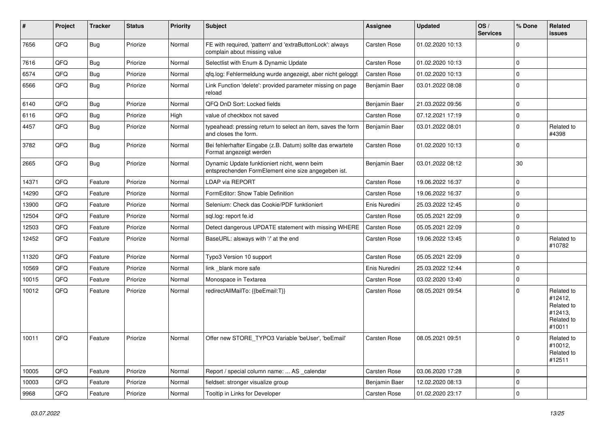| #     | Project | <b>Tracker</b> | <b>Status</b> | <b>Priority</b> | <b>Subject</b>                                                                                      | Assignee      | <b>Updated</b>   | OS/<br><b>Services</b> | % Done      | Related<br>issues                                                      |
|-------|---------|----------------|---------------|-----------------|-----------------------------------------------------------------------------------------------------|---------------|------------------|------------------------|-------------|------------------------------------------------------------------------|
| 7656  | QFQ     | <b>Bug</b>     | Priorize      | Normal          | FE with required, 'pattern' and 'extraButtonLock': always<br>complain about missing value           | Carsten Rose  | 01.02.2020 10:13 |                        | $\Omega$    |                                                                        |
| 7616  | QFQ     | <b>Bug</b>     | Priorize      | Normal          | Selectlist with Enum & Dynamic Update                                                               | Carsten Rose  | 01.02.2020 10:13 |                        | $\Omega$    |                                                                        |
| 6574  | QFQ     | Bug            | Priorize      | Normal          | qfq.log: Fehlermeldung wurde angezeigt, aber nicht geloggt                                          | Carsten Rose  | 01.02.2020 10:13 |                        | $\Omega$    |                                                                        |
| 6566  | QFQ     | <b>Bug</b>     | Priorize      | Normal          | Link Function 'delete': provided parameter missing on page<br>reload                                | Benjamin Baer | 03.01.2022 08:08 |                        | $\Omega$    |                                                                        |
| 6140  | QFQ     | <b>Bug</b>     | Priorize      | Normal          | QFQ DnD Sort: Locked fields                                                                         | Benjamin Baer | 21.03.2022 09:56 |                        | $\Omega$    |                                                                        |
| 6116  | QFQ     | <b>Bug</b>     | Priorize      | High            | value of checkbox not saved                                                                         | Carsten Rose  | 07.12.2021 17:19 |                        | $\Omega$    |                                                                        |
| 4457  | QFQ     | <b>Bug</b>     | Priorize      | Normal          | typeahead: pressing return to select an item, saves the form<br>and closes the form.                | Benjamin Baer | 03.01.2022 08:01 |                        | $\Omega$    | Related to<br>#4398                                                    |
| 3782  | QFQ     | <b>Bug</b>     | Priorize      | Normal          | Bei fehlerhafter Eingabe (z.B. Datum) sollte das erwartete<br>Format angezeigt werden               | Carsten Rose  | 01.02.2020 10:13 |                        | $\Omega$    |                                                                        |
| 2665  | QFQ     | Bug            | Priorize      | Normal          | Dynamic Update funktioniert nicht, wenn beim<br>entsprechenden FormElement eine size angegeben ist. | Benjamin Baer | 03.01.2022 08:12 |                        | 30          |                                                                        |
| 14371 | QFQ     | Feature        | Priorize      | Normal          | LDAP via REPORT                                                                                     | Carsten Rose  | 19.06.2022 16:37 |                        | $\Omega$    |                                                                        |
| 14290 | QFQ     | Feature        | Priorize      | Normal          | FormEditor: Show Table Definition                                                                   | Carsten Rose  | 19.06.2022 16:37 |                        | $\Omega$    |                                                                        |
| 13900 | QFQ     | Feature        | Priorize      | Normal          | Selenium: Check das Cookie/PDF funktioniert                                                         | Enis Nuredini | 25.03.2022 12:45 |                        | $\Omega$    |                                                                        |
| 12504 | QFQ     | Feature        | Priorize      | Normal          | sql.log: report fe.id                                                                               | Carsten Rose  | 05.05.2021 22:09 |                        | $\Omega$    |                                                                        |
| 12503 | QFQ     | Feature        | Priorize      | Normal          | Detect dangerous UPDATE statement with missing WHERE                                                | Carsten Rose  | 05.05.2021 22:09 |                        | $\Omega$    |                                                                        |
| 12452 | QFQ     | Feature        | Priorize      | Normal          | BaseURL: alsways with '/' at the end                                                                | Carsten Rose  | 19.06.2022 13:45 |                        | $\Omega$    | Related to<br>#10782                                                   |
| 11320 | QFQ     | Feature        | Priorize      | Normal          | Typo3 Version 10 support                                                                            | Carsten Rose  | 05.05.2021 22:09 |                        | $\Omega$    |                                                                        |
| 10569 | QFQ     | Feature        | Priorize      | Normal          | link blank more safe                                                                                | Enis Nuredini | 25.03.2022 12:44 |                        | $\Omega$    |                                                                        |
| 10015 | QFQ     | Feature        | Priorize      | Normal          | Monospace in Textarea                                                                               | Carsten Rose  | 03.02.2020 13:40 |                        | $\Omega$    |                                                                        |
| 10012 | QFQ     | Feature        | Priorize      | Normal          | redirectAllMailTo: {{beEmail:T}}                                                                    | Carsten Rose  | 08.05.2021 09:54 |                        | $\Omega$    | Related to<br>#12412,<br>Related to<br>#12413,<br>Related to<br>#10011 |
| 10011 | QFQ     | Feature        | Priorize      | Normal          | Offer new STORE TYPO3 Variable 'beUser', 'beEmail'                                                  | Carsten Rose  | 08.05.2021 09:51 |                        | $\Omega$    | Related to<br>#10012,<br>Related to<br>#12511                          |
| 10005 | QFQ     | Feature        | Priorize      | Normal          | Report / special column name:  AS _calendar                                                         | Carsten Rose  | 03.06.2020 17:28 |                        | 0           |                                                                        |
| 10003 | QFQ     | Feature        | Priorize      | Normal          | fieldset: stronger visualize group                                                                  | Benjamin Baer | 12.02.2020 08:13 |                        | $\mathbf 0$ |                                                                        |
| 9968  | QFG     | Feature        | Priorize      | Normal          | Tooltip in Links for Developer                                                                      | Carsten Rose  | 01.02.2020 23:17 |                        | 0           |                                                                        |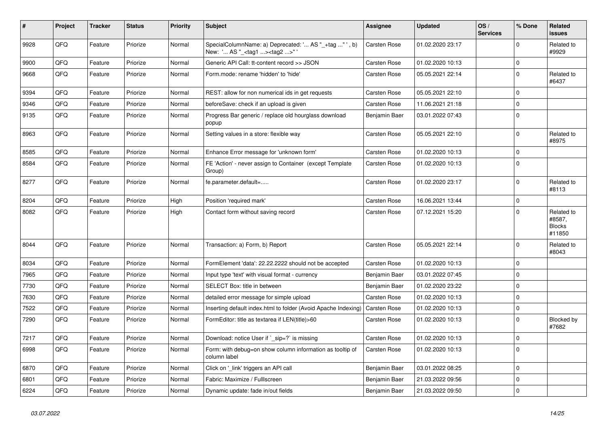| $\vert$ # | Project | <b>Tracker</b> | <b>Status</b> | <b>Priority</b> | <b>Subject</b>                                                                                    | <b>Assignee</b> | <b>Updated</b>   | OS/<br><b>Services</b> | % Done      | Related<br>issues                               |
|-----------|---------|----------------|---------------|-----------------|---------------------------------------------------------------------------------------------------|-----------------|------------------|------------------------|-------------|-------------------------------------------------|
| 9928      | QFQ     | Feature        | Priorize      | Normal          | SpecialColumnName: a) Deprecated: ' AS "_+tag " ', b)<br>New: ' AS "_ <tag1><tag2>"</tag2></tag1> | Carsten Rose    | 01.02.2020 23:17 |                        | $\Omega$    | Related to<br>#9929                             |
| 9900      | QFQ     | Feature        | Priorize      | Normal          | Generic API Call: tt-content record >> JSON                                                       | Carsten Rose    | 01.02.2020 10:13 |                        | 0           |                                                 |
| 9668      | QFQ     | Feature        | Priorize      | Normal          | Form.mode: rename 'hidden' to 'hide'                                                              | Carsten Rose    | 05.05.2021 22:14 |                        | $\Omega$    | Related to<br>#6437                             |
| 9394      | QFQ     | Feature        | Priorize      | Normal          | REST: allow for non numerical ids in get requests                                                 | Carsten Rose    | 05.05.2021 22:10 |                        | 0           |                                                 |
| 9346      | QFQ     | Feature        | Priorize      | Normal          | beforeSave: check if an upload is given                                                           | Carsten Rose    | 11.06.2021 21:18 |                        | $\Omega$    |                                                 |
| 9135      | QFQ     | Feature        | Priorize      | Normal          | Progress Bar generic / replace old hourglass download<br>popup                                    | Benjamin Baer   | 03.01.2022 07:43 |                        | $\Omega$    |                                                 |
| 8963      | QFQ     | Feature        | Priorize      | Normal          | Setting values in a store: flexible way                                                           | Carsten Rose    | 05.05.2021 22:10 |                        | $\pmb{0}$   | Related to<br>#8975                             |
| 8585      | QFQ     | Feature        | Priorize      | Normal          | Enhance Error message for 'unknown form'                                                          | Carsten Rose    | 01.02.2020 10:13 |                        | $\Omega$    |                                                 |
| 8584      | QFQ     | Feature        | Priorize      | Normal          | FE 'Action' - never assign to Container (except Template<br>Group)                                | Carsten Rose    | 01.02.2020 10:13 |                        | $\Omega$    |                                                 |
| 8277      | QFQ     | Feature        | Priorize      | Normal          | fe.parameter.default=                                                                             | Carsten Rose    | 01.02.2020 23:17 |                        | $\Omega$    | Related to<br>#8113                             |
| 8204      | QFQ     | Feature        | Priorize      | High            | Position 'required mark'                                                                          | Carsten Rose    | 16.06.2021 13:44 |                        | $\pmb{0}$   |                                                 |
| 8082      | QFQ     | Feature        | Priorize      | High            | Contact form without saving record                                                                | Carsten Rose    | 07.12.2021 15:20 |                        | $\Omega$    | Related to<br>#8587,<br><b>Blocks</b><br>#11850 |
| 8044      | QFQ     | Feature        | Priorize      | Normal          | Transaction: a) Form, b) Report                                                                   | Carsten Rose    | 05.05.2021 22:14 |                        | $\Omega$    | Related to<br>#8043                             |
| 8034      | QFQ     | Feature        | Priorize      | Normal          | FormElement 'data': 22.22.2222 should not be accepted                                             | Carsten Rose    | 01.02.2020 10:13 |                        | $\mathbf 0$ |                                                 |
| 7965      | QFQ     | Feature        | Priorize      | Normal          | Input type 'text' with visual format - currency                                                   | Benjamin Baer   | 03.01.2022 07:45 |                        | $\mathbf 0$ |                                                 |
| 7730      | QFQ     | Feature        | Priorize      | Normal          | SELECT Box: title in between                                                                      | Benjamin Baer   | 01.02.2020 23:22 |                        | $\Omega$    |                                                 |
| 7630      | QFQ     | Feature        | Priorize      | Normal          | detailed error message for simple upload                                                          | Carsten Rose    | 01.02.2020 10:13 |                        | $\Omega$    |                                                 |
| 7522      | QFQ     | Feature        | Priorize      | Normal          | Inserting default index.html to folder (Avoid Apache Indexing)                                    | Carsten Rose    | 01.02.2020 10:13 |                        | 0           |                                                 |
| 7290      | QFQ     | Feature        | Priorize      | Normal          | FormEditor: title as textarea if LEN(title)>60                                                    | Carsten Rose    | 01.02.2020 10:13 |                        | $\Omega$    | Blocked by<br>#7682                             |
| 7217      | QFQ     | Feature        | Priorize      | Normal          | Download: notice User if ` sip=?` is missing                                                      | Carsten Rose    | 01.02.2020 10:13 |                        | $\pmb{0}$   |                                                 |
| 6998      | QFQ     | Feature        | Priorize      | Normal          | Form: with debug=on show column information as tooltip of<br>column label                         | Carsten Rose    | 01.02.2020 10:13 |                        | $\Omega$    |                                                 |
| 6870      | QFQ     | Feature        | Priorize      | Normal          | Click on 'link' triggers an API call                                                              | Benjamin Baer   | 03.01.2022 08:25 |                        | $\mathbf 0$ |                                                 |
| 6801      | QFQ     | Feature        | Priorize      | Normal          | Fabric: Maximize / FullIscreen                                                                    | Benjamin Baer   | 21.03.2022 09:56 |                        | 0           |                                                 |
| 6224      | QFQ     | Feature        | Priorize      | Normal          | Dynamic update: fade in/out fields                                                                | Benjamin Baer   | 21.03.2022 09:50 |                        | $\mathbf 0$ |                                                 |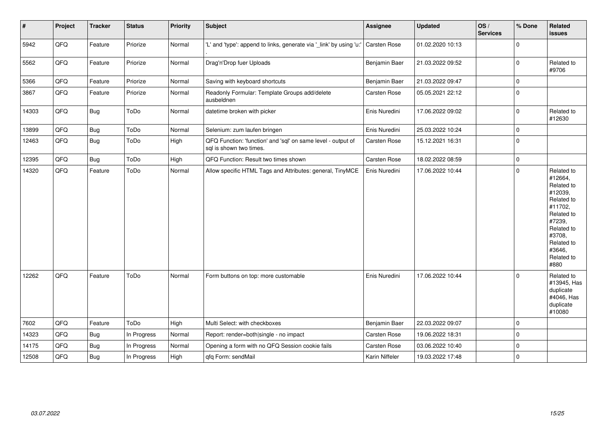| $\pmb{\#}$ | Project | <b>Tracker</b> | <b>Status</b> | <b>Priority</b> | Subject                                                                                 | Assignee            | <b>Updated</b>   | OS/<br><b>Services</b> | % Done      | Related<br><b>issues</b>                                                                                                                                              |
|------------|---------|----------------|---------------|-----------------|-----------------------------------------------------------------------------------------|---------------------|------------------|------------------------|-------------|-----------------------------------------------------------------------------------------------------------------------------------------------------------------------|
| 5942       | QFQ     | Feature        | Priorize      | Normal          | 'L' and 'type': append to links, generate via '_link' by using 'u:'                     | Carsten Rose        | 01.02.2020 10:13 |                        | $\mathbf 0$ |                                                                                                                                                                       |
| 5562       | QFQ     | Feature        | Priorize      | Normal          | Drag'n'Drop fuer Uploads                                                                | Benjamin Baer       | 21.03.2022 09:52 |                        | $\pmb{0}$   | Related to<br>#9706                                                                                                                                                   |
| 5366       | QFQ     | Feature        | Priorize      | Normal          | Saving with keyboard shortcuts                                                          | Benjamin Baer       | 21.03.2022 09:47 |                        | $\mathbf 0$ |                                                                                                                                                                       |
| 3867       | QFQ     | Feature        | Priorize      | Normal          | Readonly Formular: Template Groups add/delete<br>ausbeldnen                             | <b>Carsten Rose</b> | 05.05.2021 22:12 |                        | $\pmb{0}$   |                                                                                                                                                                       |
| 14303      | QFQ     | <b>Bug</b>     | ToDo          | Normal          | datetime broken with picker                                                             | Enis Nuredini       | 17.06.2022 09:02 |                        | $\pmb{0}$   | Related to<br>#12630                                                                                                                                                  |
| 13899      | QFQ     | Bug            | ToDo          | Normal          | Selenium: zum laufen bringen                                                            | Enis Nuredini       | 25.03.2022 10:24 |                        | $\mathbf 0$ |                                                                                                                                                                       |
| 12463      | QFQ     | <b>Bug</b>     | ToDo          | High            | QFQ Function: 'function' and 'sql' on same level - output of<br>sql is shown two times. | Carsten Rose        | 15.12.2021 16:31 |                        | $\mathbf 0$ |                                                                                                                                                                       |
| 12395      | QFQ     | <b>Bug</b>     | ToDo          | High            | QFQ Function: Result two times shown                                                    | <b>Carsten Rose</b> | 18.02.2022 08:59 |                        | $\pmb{0}$   |                                                                                                                                                                       |
| 14320      | QFQ     | Feature        | ToDo          | Normal          | Allow specific HTML Tags and Attributes: general, TinyMCE                               | Enis Nuredini       | 17.06.2022 10:44 |                        | $\mathbf 0$ | Related to<br>#12664,<br>Related to<br>#12039,<br>Related to<br>#11702,<br>Related to<br>#7239,<br>Related to<br>#3708,<br>Related to<br>#3646,<br>Related to<br>#880 |
| 12262      | QFQ     | Feature        | ToDo          | Normal          | Form buttons on top: more customable                                                    | Enis Nuredini       | 17.06.2022 10:44 |                        | $\Omega$    | Related to<br>#13945, Has<br>duplicate<br>#4046, Has<br>duplicate<br>#10080                                                                                           |
| 7602       | QFQ     | Feature        | ToDo          | High            | Multi Select: with checkboxes                                                           | Benjamin Baer       | 22.03.2022 09:07 |                        | $\mathbf 0$ |                                                                                                                                                                       |
| 14323      | QFQ     | Bug            | In Progress   | Normal          | Report: render=both single - no impact                                                  | Carsten Rose        | 19.06.2022 18:31 |                        | $\mathbf 0$ |                                                                                                                                                                       |
| 14175      | QFQ     | Bug            | In Progress   | Normal          | Opening a form with no QFQ Session cookie fails                                         | Carsten Rose        | 03.06.2022 10:40 |                        | $\mathbf 0$ |                                                                                                                                                                       |
| 12508      | QFQ     | Bug            | In Progress   | High            | qfq Form: sendMail                                                                      | Karin Niffeler      | 19.03.2022 17:48 |                        | $\mathbf 0$ |                                                                                                                                                                       |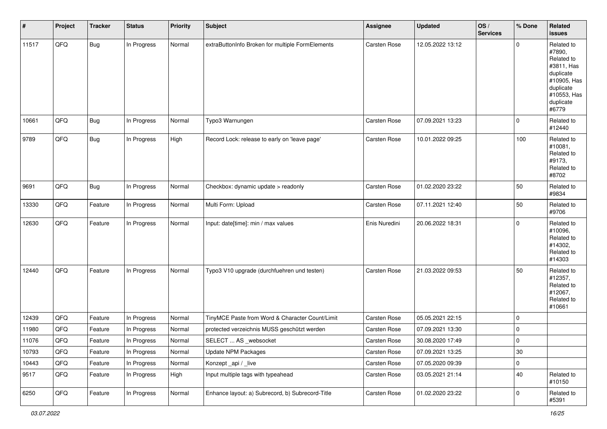| $\sharp$ | Project | <b>Tracker</b> | <b>Status</b> | <b>Priority</b> | <b>Subject</b>                                   | Assignee      | <b>Updated</b>   | OS/<br><b>Services</b> | % Done      | Related<br>issues                                                                                                              |
|----------|---------|----------------|---------------|-----------------|--------------------------------------------------|---------------|------------------|------------------------|-------------|--------------------------------------------------------------------------------------------------------------------------------|
| 11517    | QFQ     | Bug            | In Progress   | Normal          | extraButtonInfo Broken for multiple FormElements | Carsten Rose  | 12.05.2022 13:12 |                        | $\Omega$    | Related to<br>#7890,<br>Related to<br>#3811, Has<br>duplicate<br>#10905, Has<br>duplicate<br>#10553, Has<br>duplicate<br>#6779 |
| 10661    | QFQ     | Bug            | In Progress   | Normal          | Typo3 Warnungen                                  | Carsten Rose  | 07.09.2021 13:23 |                        | $\mathbf 0$ | Related to<br>#12440                                                                                                           |
| 9789     | QFQ     | Bug            | In Progress   | High            | Record Lock: release to early on 'leave page'    | Carsten Rose  | 10.01.2022 09:25 |                        | 100         | Related to<br>#10081,<br>Related to<br>#9173,<br>Related to<br>#8702                                                           |
| 9691     | QFQ     | Bug            | In Progress   | Normal          | Checkbox: dynamic update > readonly              | Carsten Rose  | 01.02.2020 23:22 |                        | 50          | Related to<br>#9834                                                                                                            |
| 13330    | QFQ     | Feature        | In Progress   | Normal          | Multi Form: Upload                               | Carsten Rose  | 07.11.2021 12:40 |                        | 50          | Related to<br>#9706                                                                                                            |
| 12630    | QFQ     | Feature        | In Progress   | Normal          | Input: date[time]: min / max values              | Enis Nuredini | 20.06.2022 18:31 |                        | $\mathbf 0$ | Related to<br>#10096,<br>Related to<br>#14302,<br>Related to<br>#14303                                                         |
| 12440    | QFQ     | Feature        | In Progress   | Normal          | Typo3 V10 upgrade (durchfuehren und testen)      | Carsten Rose  | 21.03.2022 09:53 |                        | 50          | Related to<br>#12357,<br>Related to<br>#12067,<br>Related to<br>#10661                                                         |
| 12439    | QFQ     | Feature        | In Progress   | Normal          | TinyMCE Paste from Word & Character Count/Limit  | Carsten Rose  | 05.05.2021 22:15 |                        | $\Omega$    |                                                                                                                                |
| 11980    | QFQ     | Feature        | In Progress   | Normal          | protected verzeichnis MUSS geschützt werden      | Carsten Rose  | 07.09.2021 13:30 |                        | $\mathbf 0$ |                                                                                                                                |
| 11076    | QFQ     | Feature        | In Progress   | Normal          | SELECT  AS _websocket                            | Carsten Rose  | 30.08.2020 17:49 |                        | $\mathbf 0$ |                                                                                                                                |
| 10793    | QFQ     | Feature        | In Progress   | Normal          | <b>Update NPM Packages</b>                       | Carsten Rose  | 07.09.2021 13:25 |                        | $30\,$      |                                                                                                                                |
| 10443    | QFQ     | Feature        | In Progress   | Normal          | Konzept_api / _live                              | Carsten Rose  | 07.05.2020 09:39 |                        | 0           |                                                                                                                                |
| 9517     | QFQ     | Feature        | In Progress   | High            | Input multiple tags with typeahead               | Carsten Rose  | 03.05.2021 21:14 |                        | $40\,$      | Related to<br>#10150                                                                                                           |
| 6250     | QFQ     | Feature        | In Progress   | Normal          | Enhance layout: a) Subrecord, b) Subrecord-Title | Carsten Rose  | 01.02.2020 23:22 |                        | 0           | Related to<br>#5391                                                                                                            |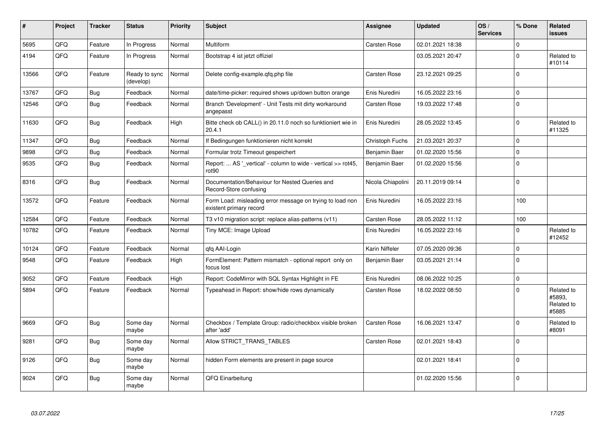| #     | Project | <b>Tracker</b> | <b>Status</b>              | <b>Priority</b> | <b>Subject</b>                                                                       | <b>Assignee</b>     | <b>Updated</b>   | OS/<br><b>Services</b> | % Done      | Related<br><b>issues</b>                    |
|-------|---------|----------------|----------------------------|-----------------|--------------------------------------------------------------------------------------|---------------------|------------------|------------------------|-------------|---------------------------------------------|
| 5695  | QFQ     | Feature        | In Progress                | Normal          | Multiform                                                                            | Carsten Rose        | 02.01.2021 18:38 |                        | $\mathbf 0$ |                                             |
| 4194  | QFQ     | Feature        | In Progress                | Normal          | Bootstrap 4 ist jetzt offiziel                                                       |                     | 03.05.2021 20:47 |                        | $\Omega$    | Related to<br>#10114                        |
| 13566 | QFQ     | Feature        | Ready to sync<br>(develop) | Normal          | Delete config-example.gfg.php file                                                   | Carsten Rose        | 23.12.2021 09:25 |                        | $\mathbf 0$ |                                             |
| 13767 | QFQ     | Bug            | Feedback                   | Normal          | date/time-picker: required shows up/down button orange                               | Enis Nuredini       | 16.05.2022 23:16 |                        | $\mathbf 0$ |                                             |
| 12546 | QFQ     | <b>Bug</b>     | Feedback                   | Normal          | Branch 'Development' - Unit Tests mit dirty workaround<br>angepasst                  | <b>Carsten Rose</b> | 19.03.2022 17:48 |                        | $\Omega$    |                                             |
| 11630 | QFQ     | Bug            | Feedback                   | High            | Bitte check ob CALL() in 20.11.0 noch so funktioniert wie in<br>20.4.1               | Enis Nuredini       | 28.05.2022 13:45 |                        | $\Omega$    | Related to<br>#11325                        |
| 11347 | QFQ     | Bug            | Feedback                   | Normal          | If Bedingungen funktionieren nicht korrekt                                           | Christoph Fuchs     | 21.03.2021 20:37 |                        | $\mathbf 0$ |                                             |
| 9898  | QFQ     | Bug            | Feedback                   | Normal          | Formular trotz Timeout gespeichert                                                   | Benjamin Baer       | 01.02.2020 15:56 |                        | $\mathbf 0$ |                                             |
| 9535  | QFQ     | <b>Bug</b>     | Feedback                   | Normal          | Report:  AS '_vertical' - column to wide - vertical >> rot45,<br>rot <sub>90</sub>   | Benjamin Baer       | 01.02.2020 15:56 |                        | $\mathbf 0$ |                                             |
| 8316  | QFQ     | Bug            | Feedback                   | Normal          | Documentation/Behaviour for Nested Queries and<br>Record-Store confusing             | Nicola Chiapolini   | 20.11.2019 09:14 |                        | $\mathbf 0$ |                                             |
| 13572 | QFQ     | Feature        | Feedback                   | Normal          | Form Load: misleading error message on trying to load non<br>existent primary record | Enis Nuredini       | 16.05.2022 23:16 |                        | 100         |                                             |
| 12584 | QFQ     | Feature        | Feedback                   | Normal          | T3 v10 migration script: replace alias-patterns (v11)                                | Carsten Rose        | 28.05.2022 11:12 |                        | 100         |                                             |
| 10782 | QFQ     | Feature        | Feedback                   | Normal          | Tiny MCE: Image Upload                                                               | Enis Nuredini       | 16.05.2022 23:16 |                        | $\Omega$    | Related to<br>#12452                        |
| 10124 | QFQ     | Feature        | Feedback                   | Normal          | qfq AAI-Login                                                                        | Karin Niffeler      | 07.05.2020 09:36 |                        | $\mathbf 0$ |                                             |
| 9548  | QFQ     | Feature        | Feedback                   | High            | FormElement: Pattern mismatch - optional report only on<br>focus lost                | Benjamin Baer       | 03.05.2021 21:14 |                        | $\mathbf 0$ |                                             |
| 9052  | QFQ     | Feature        | Feedback                   | High            | Report: CodeMirror with SQL Syntax Highlight in FE                                   | Enis Nuredini       | 08.06.2022 10:25 |                        | $\mathbf 0$ |                                             |
| 5894  | QFQ     | Feature        | Feedback                   | Normal          | Typeahead in Report: show/hide rows dynamically                                      | <b>Carsten Rose</b> | 18.02.2022 08:50 |                        | $\Omega$    | Related to<br>#5893.<br>Related to<br>#5885 |
| 9669  | QFQ     | Bug            | Some day<br>maybe          | Normal          | Checkbox / Template Group: radio/checkbox visible broken<br>after 'add'              | <b>Carsten Rose</b> | 16.06.2021 13:47 |                        | $\Omega$    | Related to<br>#8091                         |
| 9281  | QFQ     | Bug            | Some day<br>maybe          | Normal          | Allow STRICT_TRANS_TABLES                                                            | <b>Carsten Rose</b> | 02.01.2021 18:43 |                        | $\Omega$    |                                             |
| 9126  | QFQ     | <b>Bug</b>     | Some day<br>maybe          | Normal          | hidden Form elements are present in page source                                      |                     | 02.01.2021 18:41 |                        | $\Omega$    |                                             |
| 9024  | QFQ     | Bug            | Some day<br>maybe          | Normal          | QFQ Einarbeitung                                                                     |                     | 01.02.2020 15:56 |                        | $\Omega$    |                                             |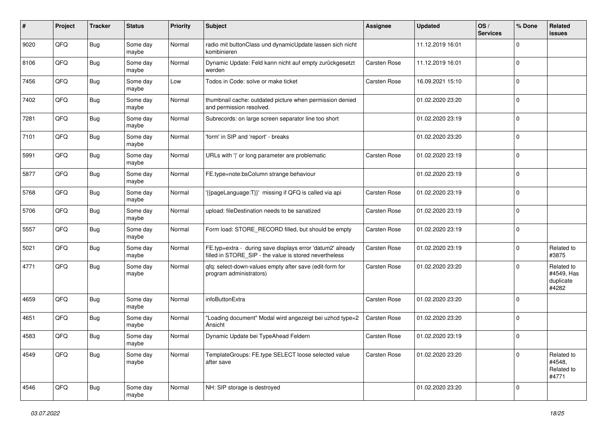| #    | Project | <b>Tracker</b> | <b>Status</b>     | <b>Priority</b> | <b>Subject</b>                                                                                                       | Assignee     | <b>Updated</b>   | OS/<br><b>Services</b> | % Done      | Related<br>issues                              |
|------|---------|----------------|-------------------|-----------------|----------------------------------------------------------------------------------------------------------------------|--------------|------------------|------------------------|-------------|------------------------------------------------|
| 9020 | QFQ     | Bug            | Some day<br>maybe | Normal          | radio mit buttonClass und dynamicUpdate lassen sich nicht<br>kombinieren                                             |              | 11.12.2019 16:01 |                        | $\Omega$    |                                                |
| 8106 | QFQ     | <b>Bug</b>     | Some day<br>maybe | Normal          | Dynamic Update: Feld kann nicht auf empty zurückgesetzt<br>werden                                                    | Carsten Rose | 11.12.2019 16:01 |                        | $\mathbf 0$ |                                                |
| 7456 | QFQ     | <b>Bug</b>     | Some day<br>maybe | Low             | Todos in Code: solve or make ticket                                                                                  | Carsten Rose | 16.09.2021 15:10 |                        | $\Omega$    |                                                |
| 7402 | QFQ     | <b>Bug</b>     | Some day<br>maybe | Normal          | thumbnail cache: outdated picture when permission denied<br>and permission resolved.                                 |              | 01.02.2020 23:20 |                        | $\mathbf 0$ |                                                |
| 7281 | QFQ     | Bug            | Some day<br>maybe | Normal          | Subrecords: on large screen separator line too short                                                                 |              | 01.02.2020 23:19 |                        | $\mathbf 0$ |                                                |
| 7101 | QFQ     | Bug            | Some day<br>maybe | Normal          | 'form' in SIP and 'report' - breaks                                                                                  |              | 01.02.2020 23:20 |                        | $\mathbf 0$ |                                                |
| 5991 | QFQ     | Bug            | Some day<br>maybe | Normal          | URLs with ' ' or long parameter are problematic                                                                      | Carsten Rose | 01.02.2020 23:19 |                        | $\mathbf 0$ |                                                |
| 5877 | QFQ     | <b>Bug</b>     | Some day<br>maybe | Normal          | FE.type=note:bsColumn strange behaviour                                                                              |              | 01.02.2020 23:19 |                        | $\Omega$    |                                                |
| 5768 | QFQ     | Bug            | Some day<br>maybe | Normal          | '{{pageLanguage:T}}' missing if QFQ is called via api                                                                | Carsten Rose | 01.02.2020 23:19 |                        | $\mathbf 0$ |                                                |
| 5706 | QFQ     | <b>Bug</b>     | Some day<br>maybe | Normal          | upload: fileDestination needs to be sanatized                                                                        | Carsten Rose | 01.02.2020 23:19 |                        | $\mathbf 0$ |                                                |
| 5557 | QFQ     | <b>Bug</b>     | Some day<br>maybe | Normal          | Form load: STORE_RECORD filled, but should be empty                                                                  | Carsten Rose | 01.02.2020 23:19 |                        | $\mathbf 0$ |                                                |
| 5021 | QFQ     | Bug            | Some day<br>maybe | Normal          | FE.typ=extra - during save displays error 'datum2' already<br>filled in STORE_SIP - the value is stored nevertheless | Carsten Rose | 01.02.2020 23:19 |                        | $\mathbf 0$ | Related to<br>#3875                            |
| 4771 | QFQ     | <b>Bug</b>     | Some day<br>maybe | Normal          | qfq: select-down-values empty after save (edit-form for<br>program administrators)                                   | Carsten Rose | 01.02.2020 23:20 |                        | $\mathbf 0$ | Related to<br>#4549, Has<br>duplicate<br>#4282 |
| 4659 | QFQ     | <b>Bug</b>     | Some day<br>maybe | Normal          | infoButtonExtra                                                                                                      | Carsten Rose | 01.02.2020 23:20 |                        | $\Omega$    |                                                |
| 4651 | QFQ     | Bug            | Some day<br>maybe | Normal          | "Loading document" Modal wird angezeigt bei uzhcd type=2<br>Ansicht                                                  | Carsten Rose | 01.02.2020 23:20 |                        | $\mathbf 0$ |                                                |
| 4583 | QFQ     | <b>Bug</b>     | Some day<br>maybe | Normal          | Dynamic Update bei TypeAhead Feldern                                                                                 | Carsten Rose | 01.02.2020 23:19 |                        | $\mathbf 0$ |                                                |
| 4549 | QFQ     | <b>Bug</b>     | Some day<br>maybe | Normal          | TemplateGroups: FE.type SELECT loose selected value<br>after save                                                    | Carsten Rose | 01.02.2020 23:20 |                        | $\mathbf 0$ | Related to<br>#4548,<br>Related to<br>#4771    |
| 4546 | QFQ     | <b>Bug</b>     | Some day<br>maybe | Normal          | NH: SIP storage is destroyed                                                                                         |              | 01.02.2020 23:20 |                        | $\mathbf 0$ |                                                |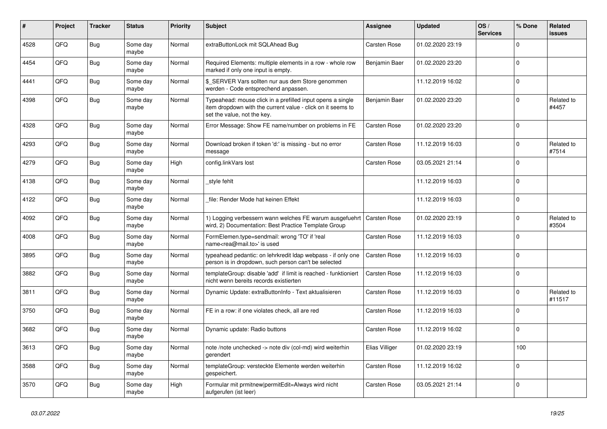| #    | Project | <b>Tracker</b> | <b>Status</b>     | <b>Priority</b> | <b>Subject</b>                                                                                                                                           | Assignee       | <b>Updated</b>   | OS/<br><b>Services</b> | % Done   | Related<br><b>issues</b> |
|------|---------|----------------|-------------------|-----------------|----------------------------------------------------------------------------------------------------------------------------------------------------------|----------------|------------------|------------------------|----------|--------------------------|
| 4528 | QFQ     | Bug            | Some day<br>maybe | Normal          | extraButtonLock mit SQLAhead Bug                                                                                                                         | Carsten Rose   | 01.02.2020 23:19 |                        | $\Omega$ |                          |
| 4454 | QFQ     | <b>Bug</b>     | Some day<br>maybe | Normal          | Required Elements: multiple elements in a row - whole row<br>marked if only one input is empty.                                                          | Benjamin Baer  | 01.02.2020 23:20 |                        | $\Omega$ |                          |
| 4441 | QFQ     | Bug            | Some day<br>maybe | Normal          | \$ SERVER Vars sollten nur aus dem Store genommen<br>werden - Code entsprechend anpassen.                                                                |                | 11.12.2019 16:02 |                        | $\Omega$ |                          |
| 4398 | QFQ     | Bug            | Some day<br>maybe | Normal          | Typeahead: mouse click in a prefilled input opens a single<br>item dropdown with the current value - click on it seems to<br>set the value, not the key. | Benjamin Baer  | 01.02.2020 23:20 |                        | $\Omega$ | Related to<br>#4457      |
| 4328 | QFQ     | Bug            | Some day<br>maybe | Normal          | Error Message: Show FE name/number on problems in FE                                                                                                     | Carsten Rose   | 01.02.2020 23:20 |                        | $\Omega$ |                          |
| 4293 | QFQ     | <b>Bug</b>     | Some day<br>maybe | Normal          | Download broken if token 'd:' is missing - but no error<br>message                                                                                       | Carsten Rose   | 11.12.2019 16:03 |                        | $\Omega$ | Related to<br>#7514      |
| 4279 | QFQ     | <b>Bug</b>     | Some day<br>maybe | High            | config.linkVars lost                                                                                                                                     | Carsten Rose   | 03.05.2021 21:14 |                        | $\Omega$ |                          |
| 4138 | QFQ     | Bug            | Some day<br>maybe | Normal          | style fehlt                                                                                                                                              |                | 11.12.2019 16:03 |                        | $\Omega$ |                          |
| 4122 | QFQ     | Bug            | Some day<br>maybe | Normal          | file: Render Mode hat keinen Effekt                                                                                                                      |                | 11.12.2019 16:03 |                        | $\Omega$ |                          |
| 4092 | QFQ     | <b>Bug</b>     | Some day<br>maybe | Normal          | 1) Logging verbessern wann welches FE warum ausgefuehrt<br>wird, 2) Documentation: Best Practice Template Group                                          | Carsten Rose   | 01.02.2020 23:19 |                        | $\Omega$ | Related to<br>#3504      |
| 4008 | QFQ     | <b>Bug</b>     | Some day<br>maybe | Normal          | FormElemen.type=sendmail: wrong 'TO' if 'real<br>name <rea@mail.to>' is used</rea@mail.to>                                                               | Carsten Rose   | 11.12.2019 16:03 |                        | $\Omega$ |                          |
| 3895 | QFQ     | Bug            | Some day<br>maybe | Normal          | typeahead pedantic: on lehrkredit Idap webpass - if only one<br>person is in dropdown, such person can't be selected                                     | Carsten Rose   | 11.12.2019 16:03 |                        | $\Omega$ |                          |
| 3882 | QFQ     | <b>Bug</b>     | Some day<br>maybe | Normal          | templateGroup: disable 'add' if limit is reached - funktioniert<br>nicht wenn bereits records existierten                                                | Carsten Rose   | 11.12.2019 16:03 |                        | $\Omega$ |                          |
| 3811 | QFQ     | Bug            | Some day<br>maybe | Normal          | Dynamic Update: extraButtonInfo - Text aktualisieren                                                                                                     | Carsten Rose   | 11.12.2019 16:03 |                        | $\Omega$ | Related to<br>#11517     |
| 3750 | QFQ     | <b>Bug</b>     | Some day<br>maybe | Normal          | FE in a row: if one violates check, all are red                                                                                                          | Carsten Rose   | 11.12.2019 16:03 |                        | $\Omega$ |                          |
| 3682 | QFQ     | Bug            | Some day<br>maybe | Normal          | Dynamic update: Radio buttons                                                                                                                            | Carsten Rose   | 11.12.2019 16:02 |                        | $\Omega$ |                          |
| 3613 | QFQ     | <b>Bug</b>     | Some day<br>maybe | Normal          | note /note unchecked -> note div (col-md) wird weiterhin<br>gerendert                                                                                    | Elias Villiger | 01.02.2020 23:19 |                        | 100      |                          |
| 3588 | QFQ     | <b>Bug</b>     | Some day<br>maybe | Normal          | templateGroup: versteckte Elemente werden weiterhin<br>gespeichert.                                                                                      | Carsten Rose   | 11.12.2019 16:02 |                        | $\Omega$ |                          |
| 3570 | QFQ     | <b>Bug</b>     | Some day<br>maybe | High            | Formular mit prmitnew permitEdit=Always wird nicht<br>aufgerufen (ist leer)                                                                              | Carsten Rose   | 03.05.2021 21:14 |                        | $\Omega$ |                          |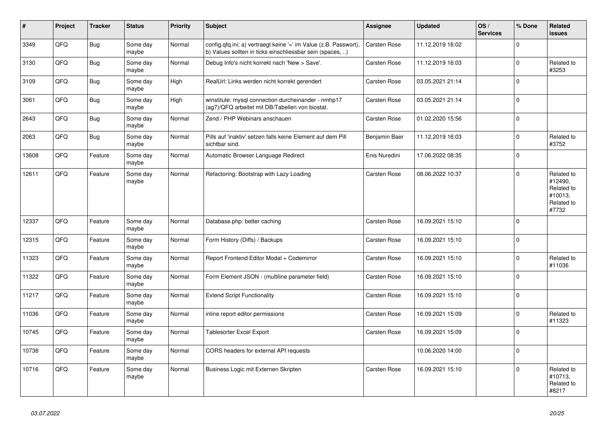| #     | Project | <b>Tracker</b> | <b>Status</b>     | <b>Priority</b> | <b>Subject</b>                                                                                                                | <b>Assignee</b>     | <b>Updated</b>   | OS/<br><b>Services</b> | % Done       | Related<br><b>issues</b>                                              |
|-------|---------|----------------|-------------------|-----------------|-------------------------------------------------------------------------------------------------------------------------------|---------------------|------------------|------------------------|--------------|-----------------------------------------------------------------------|
| 3349  | QFQ     | <b>Bug</b>     | Some day<br>maybe | Normal          | config.qfq.ini: a) vertraegt keine '=' im Value (z.B. Passwort),<br>b) Values sollten in ticks einschliessbar sein (spaces, ) | Carsten Rose        | 11.12.2019 16:02 |                        | $\Omega$     |                                                                       |
| 3130  | QFQ     | <b>Bug</b>     | Some day<br>maybe | Normal          | Debug Info's nicht korrekt nach 'New > Save'.                                                                                 | <b>Carsten Rose</b> | 11.12.2019 16:03 |                        | $\mathbf 0$  | Related to<br>#3253                                                   |
| 3109  | QFQ     | <b>Bug</b>     | Some day<br>maybe | High            | RealUrl: Links werden nicht korrekt gerendert                                                                                 | Carsten Rose        | 03.05.2021 21:14 |                        | $\mathbf 0$  |                                                                       |
| 3061  | QFQ     | <b>Bug</b>     | Some day<br>maybe | High            | winstitute: mysql connection durcheinander - nmhp17<br>(ag7)/QFQ arbeitet mit DB/Tabellen von biostat.                        | Carsten Rose        | 03.05.2021 21:14 |                        | $\Omega$     |                                                                       |
| 2643  | QFQ     | Bug            | Some day<br>maybe | Normal          | Zend / PHP Webinars anschauen                                                                                                 | Carsten Rose        | 01.02.2020 15:56 |                        | $\mathbf 0$  |                                                                       |
| 2063  | QFQ     | <b>Bug</b>     | Some day<br>maybe | Normal          | Pills auf 'inaktiv' setzen falls keine Element auf dem Pill<br>sichtbar sind.                                                 | Benjamin Baer       | 11.12.2019 16:03 |                        | $\Omega$     | Related to<br>#3752                                                   |
| 13608 | QFQ     | Feature        | Some day<br>maybe | Normal          | Automatic Browser Language Redirect                                                                                           | Enis Nuredini       | 17.06.2022 08:35 |                        | $\mathbf 0$  |                                                                       |
| 12611 | QFQ     | Feature        | Some day<br>maybe | Normal          | Refactoring: Bootstrap with Lazy Loading                                                                                      | <b>Carsten Rose</b> | 08.06.2022 10:37 |                        | $\Omega$     | Related to<br>#12490,<br>Related to<br>#10013,<br>Related to<br>#7732 |
| 12337 | QFQ     | Feature        | Some day<br>maybe | Normal          | Database.php: better caching                                                                                                  | Carsten Rose        | 16.09.2021 15:10 |                        | $\mathbf{0}$ |                                                                       |
| 12315 | QFQ     | Feature        | Some day<br>maybe | Normal          | Form History (Diffs) / Backups                                                                                                | Carsten Rose        | 16.09.2021 15:10 |                        | $\mathbf 0$  |                                                                       |
| 11323 | QFQ     | Feature        | Some day<br>maybe | Normal          | Report Frontend Editor Modal + Codemirror                                                                                     | <b>Carsten Rose</b> | 16.09.2021 15:10 |                        | $\mathbf 0$  | Related to<br>#11036                                                  |
| 11322 | QFQ     | Feature        | Some day<br>maybe | Normal          | Form Element JSON - (multiline parameter field)                                                                               | Carsten Rose        | 16.09.2021 15:10 |                        | $\Omega$     |                                                                       |
| 11217 | QFQ     | Feature        | Some day<br>maybe | Normal          | <b>Extend Script Functionality</b>                                                                                            | <b>Carsten Rose</b> | 16.09.2021 15:10 |                        | $\Omega$     |                                                                       |
| 11036 | QFQ     | Feature        | Some day<br>maybe | Normal          | inline report editor permissions                                                                                              | Carsten Rose        | 16.09.2021 15:09 |                        | $\mathbf 0$  | Related to<br>#11323                                                  |
| 10745 | QFQ     | Feature        | Some day<br>maybe | Normal          | Tablesorter Excel Export                                                                                                      | Carsten Rose        | 16.09.2021 15:09 |                        | $\Omega$     |                                                                       |
| 10738 | QFQ     | Feature        | Some day<br>maybe | Normal          | CORS headers for external API requests                                                                                        |                     | 10.06.2020 14:00 |                        | $\mathbf 0$  |                                                                       |
| 10716 | QFQ     | Feature        | Some day<br>maybe | Normal          | Business Logic mit Externen Skripten                                                                                          | Carsten Rose        | 16.09.2021 15:10 |                        | $\mathbf 0$  | Related to<br>#10713,<br>Related to<br>#8217                          |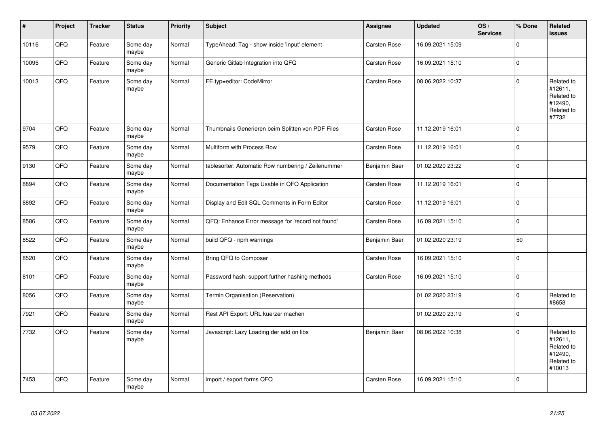| $\sharp$ | Project | <b>Tracker</b> | <b>Status</b>     | Priority | <b>Subject</b>                                     | <b>Assignee</b>     | <b>Updated</b>   | OS/<br><b>Services</b> | % Done      | Related<br>issues                                                      |
|----------|---------|----------------|-------------------|----------|----------------------------------------------------|---------------------|------------------|------------------------|-------------|------------------------------------------------------------------------|
| 10116    | QFQ     | Feature        | Some day<br>maybe | Normal   | TypeAhead: Tag - show inside 'input' element       | Carsten Rose        | 16.09.2021 15:09 |                        | $\Omega$    |                                                                        |
| 10095    | QFQ     | Feature        | Some day<br>maybe | Normal   | Generic Gitlab Integration into QFQ                | Carsten Rose        | 16.09.2021 15:10 |                        | $\mathbf 0$ |                                                                        |
| 10013    | QFQ     | Feature        | Some day<br>maybe | Normal   | FE.typ=editor: CodeMirror                          | Carsten Rose        | 08.06.2022 10:37 |                        | $\pmb{0}$   | Related to<br>#12611,<br>Related to<br>#12490,<br>Related to<br>#7732  |
| 9704     | QFQ     | Feature        | Some day<br>maybe | Normal   | Thumbnails Generieren beim Splitten von PDF Files  | <b>Carsten Rose</b> | 11.12.2019 16:01 |                        | $\mathbf 0$ |                                                                        |
| 9579     | QFQ     | Feature        | Some day<br>maybe | Normal   | Multiform with Process Row                         | Carsten Rose        | 11.12.2019 16:01 |                        | $\mathbf 0$ |                                                                        |
| 9130     | QFQ     | Feature        | Some day<br>maybe | Normal   | tablesorter: Automatic Row numbering / Zeilenummer | Benjamin Baer       | 01.02.2020 23:22 |                        | 0           |                                                                        |
| 8894     | QFQ     | Feature        | Some day<br>maybe | Normal   | Documentation Tags Usable in QFQ Application       | Carsten Rose        | 11.12.2019 16:01 |                        | $\mathbf 0$ |                                                                        |
| 8892     | QFQ     | Feature        | Some day<br>maybe | Normal   | Display and Edit SQL Comments in Form Editor       | Carsten Rose        | 11.12.2019 16:01 |                        | $\pmb{0}$   |                                                                        |
| 8586     | QFQ     | Feature        | Some day<br>maybe | Normal   | QFQ: Enhance Error message for 'record not found'  | Carsten Rose        | 16.09.2021 15:10 |                        | $\mathbf 0$ |                                                                        |
| 8522     | QFQ     | Feature        | Some day<br>maybe | Normal   | build QFQ - npm warnings                           | Benjamin Baer       | 01.02.2020 23:19 |                        | 50          |                                                                        |
| 8520     | QFQ     | Feature        | Some day<br>maybe | Normal   | Bring QFQ to Composer                              | Carsten Rose        | 16.09.2021 15:10 |                        | 0           |                                                                        |
| 8101     | QFQ     | Feature        | Some day<br>maybe | Normal   | Password hash: support further hashing methods     | Carsten Rose        | 16.09.2021 15:10 |                        | $\pmb{0}$   |                                                                        |
| 8056     | QFQ     | Feature        | Some day<br>maybe | Normal   | Termin Organisation (Reservation)                  |                     | 01.02.2020 23:19 |                        | $\pmb{0}$   | Related to<br>#8658                                                    |
| 7921     | QFQ     | Feature        | Some day<br>maybe | Normal   | Rest API Export: URL kuerzer machen                |                     | 01.02.2020 23:19 |                        | $\mathbf 0$ |                                                                        |
| 7732     | QFQ     | Feature        | Some day<br>maybe | Normal   | Javascript: Lazy Loading der add on libs           | Benjamin Baer       | 08.06.2022 10:38 |                        | $\Omega$    | Related to<br>#12611,<br>Related to<br>#12490,<br>Related to<br>#10013 |
| 7453     | QFQ     | Feature        | Some day<br>maybe | Normal   | import / export forms QFQ                          | Carsten Rose        | 16.09.2021 15:10 |                        | $\mathbf 0$ |                                                                        |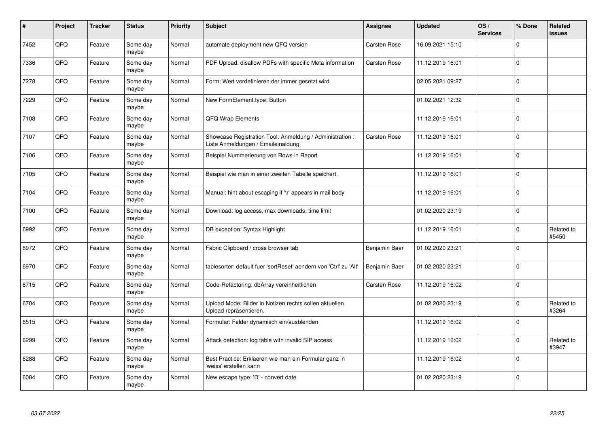| #    | Project | <b>Tracker</b> | <b>Status</b>     | <b>Priority</b> | Subject                                                                                        | <b>Assignee</b>     | <b>Updated</b>   | OS/<br><b>Services</b> | % Done      | Related<br><b>issues</b> |
|------|---------|----------------|-------------------|-----------------|------------------------------------------------------------------------------------------------|---------------------|------------------|------------------------|-------------|--------------------------|
| 7452 | QFQ     | Feature        | Some day<br>maybe | Normal          | automate deployment new QFQ version                                                            | <b>Carsten Rose</b> | 16.09.2021 15:10 |                        | $\mathbf 0$ |                          |
| 7336 | QFQ     | Feature        | Some day<br>maybe | Normal          | PDF Upload: disallow PDFs with specific Meta information                                       | <b>Carsten Rose</b> | 11.12.2019 16:01 |                        | $\mathbf 0$ |                          |
| 7278 | QFQ     | Feature        | Some day<br>maybe | Normal          | Form: Wert vordefinieren der immer gesetzt wird                                                |                     | 02.05.2021 09:27 |                        | $\pmb{0}$   |                          |
| 7229 | QFQ     | Feature        | Some day<br>maybe | Normal          | New FormElement.type: Button                                                                   |                     | 01.02.2021 12:32 |                        | $\Omega$    |                          |
| 7108 | QFQ     | Feature        | Some day<br>maybe | Normal          | <b>QFQ Wrap Elements</b>                                                                       |                     | 11.12.2019 16:01 |                        | $\mathbf 0$ |                          |
| 7107 | QFQ     | Feature        | Some day<br>maybe | Normal          | Showcase Registration Tool: Anmeldung / Administration :<br>Liste Anmeldungen / Emaileinaldung | Carsten Rose        | 11.12.2019 16:01 |                        | $\pmb{0}$   |                          |
| 7106 | QFQ     | Feature        | Some day<br>maybe | Normal          | Beispiel Nummerierung von Rows in Report                                                       |                     | 11.12.2019 16:01 |                        | $\mathbf 0$ |                          |
| 7105 | QFQ     | Feature        | Some day<br>maybe | Normal          | Beispiel wie man in einer zweiten Tabelle speichert.                                           |                     | 11.12.2019 16:01 |                        | $\mathbf 0$ |                          |
| 7104 | QFQ     | Feature        | Some day<br>maybe | Normal          | Manual: hint about escaping if '\r' appears in mail body                                       |                     | 11.12.2019 16:01 |                        | $\pmb{0}$   |                          |
| 7100 | QFQ     | Feature        | Some day<br>maybe | Normal          | Download: log access, max downloads, time limit                                                |                     | 01.02.2020 23:19 |                        | $\mathbf 0$ |                          |
| 6992 | QFQ     | Feature        | Some day<br>maybe | Normal          | DB exception: Syntax Highlight                                                                 |                     | 11.12.2019 16:01 |                        | 0           | Related to<br>#5450      |
| 6972 | QFQ     | Feature        | Some day<br>maybe | Normal          | Fabric Clipboard / cross browser tab                                                           | Benjamin Baer       | 01.02.2020 23:21 |                        | $\pmb{0}$   |                          |
| 6970 | QFQ     | Feature        | Some day<br>maybe | Normal          | tablesorter: default fuer 'sortReset' aendern von 'Ctrl' zu 'Alt'                              | Benjamin Baer       | 01.02.2020 23:21 |                        | $\mathbf 0$ |                          |
| 6715 | QFQ     | Feature        | Some day<br>maybe | Normal          | Code-Refactoring: dbArray vereinheitlichen                                                     | <b>Carsten Rose</b> | 11.12.2019 16:02 |                        | $\mathbf 0$ |                          |
| 6704 | QFQ     | Feature        | Some day<br>maybe | Normal          | Upload Mode: Bilder in Notizen rechts sollen aktuellen<br>Upload repräsentieren.               |                     | 01.02.2020 23:19 |                        | $\Omega$    | Related to<br>#3264      |
| 6515 | QFQ     | Feature        | Some day<br>maybe | Normal          | Formular: Felder dynamisch ein/ausblenden                                                      |                     | 11.12.2019 16:02 |                        | $\mathbf 0$ |                          |
| 6299 | QFQ     | Feature        | Some day<br>maybe | Normal          | Attack detection: log table with invalid SIP access                                            |                     | 11.12.2019 16:02 |                        | $\mathbf 0$ | Related to<br>#3947      |
| 6288 | QFQ     | Feature        | Some day<br>maybe | Normal          | Best Practice: Erklaeren wie man ein Formular ganz in<br>'weiss' erstellen kann                |                     | 11.12.2019 16:02 |                        | $\pmb{0}$   |                          |
| 6084 | QFQ     | Feature        | Some day<br>maybe | Normal          | New escape type: 'D' - convert date                                                            |                     | 01.02.2020 23:19 |                        | $\Omega$    |                          |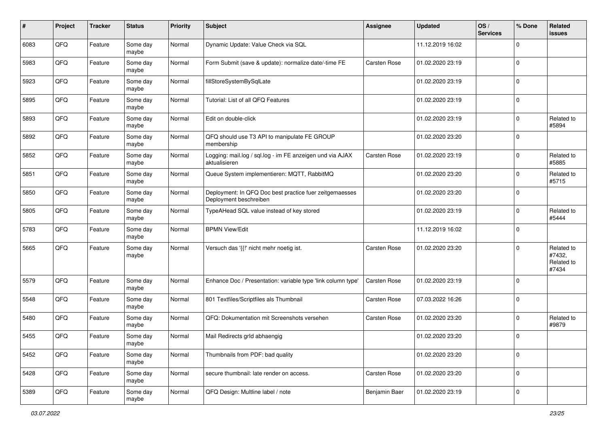| #    | Project | <b>Tracker</b> | <b>Status</b>     | <b>Priority</b> | <b>Subject</b>                                                                    | Assignee      | <b>Updated</b>   | OS/<br><b>Services</b> | % Done      | Related<br>issues                           |
|------|---------|----------------|-------------------|-----------------|-----------------------------------------------------------------------------------|---------------|------------------|------------------------|-------------|---------------------------------------------|
| 6083 | QFQ     | Feature        | Some day<br>maybe | Normal          | Dynamic Update: Value Check via SQL                                               |               | 11.12.2019 16:02 |                        | $\Omega$    |                                             |
| 5983 | QFQ     | Feature        | Some day<br>maybe | Normal          | Form Submit (save & update): normalize date/-time FE                              | Carsten Rose  | 01.02.2020 23:19 |                        | $\Omega$    |                                             |
| 5923 | QFQ     | Feature        | Some day<br>maybe | Normal          | fillStoreSystemBySqlLate                                                          |               | 01.02.2020 23:19 |                        | $\Omega$    |                                             |
| 5895 | QFQ     | Feature        | Some day<br>maybe | Normal          | Tutorial: List of all QFQ Features                                                |               | 01.02.2020 23:19 |                        | $\mathbf 0$ |                                             |
| 5893 | QFQ     | Feature        | Some day<br>maybe | Normal          | Edit on double-click                                                              |               | 01.02.2020 23:19 |                        | $\Omega$    | Related to<br>#5894                         |
| 5892 | QFQ     | Feature        | Some day<br>maybe | Normal          | QFQ should use T3 API to manipulate FE GROUP<br>membership                        |               | 01.02.2020 23:20 |                        | $\Omega$    |                                             |
| 5852 | QFQ     | Feature        | Some day<br>maybe | Normal          | Logging: mail.log / sql.log - im FE anzeigen und via AJAX<br>aktualisieren        | Carsten Rose  | 01.02.2020 23:19 |                        | $\Omega$    | Related to<br>#5885                         |
| 5851 | QFQ     | Feature        | Some day<br>maybe | Normal          | Queue System implementieren: MQTT, RabbitMQ                                       |               | 01.02.2020 23:20 |                        | $\Omega$    | Related to<br>#5715                         |
| 5850 | QFQ     | Feature        | Some day<br>maybe | Normal          | Deployment: In QFQ Doc best practice fuer zeitgemaesses<br>Deployment beschreiben |               | 01.02.2020 23:20 |                        | $\mathbf 0$ |                                             |
| 5805 | QFQ     | Feature        | Some day<br>maybe | Normal          | TypeAHead SQL value instead of key stored                                         |               | 01.02.2020 23:19 |                        | $\Omega$    | Related to<br>#5444                         |
| 5783 | QFQ     | Feature        | Some day<br>maybe | Normal          | <b>BPMN View/Edit</b>                                                             |               | 11.12.2019 16:02 |                        | $\Omega$    |                                             |
| 5665 | QFQ     | Feature        | Some day<br>maybe | Normal          | Versuch das '{{!' nicht mehr noetig ist.                                          | Carsten Rose  | 01.02.2020 23:20 |                        | $\Omega$    | Related to<br>#7432,<br>Related to<br>#7434 |
| 5579 | QFQ     | Feature        | Some day<br>maybe | Normal          | Enhance Doc / Presentation: variable type 'link column type'                      | Carsten Rose  | 01.02.2020 23:19 |                        | $\Omega$    |                                             |
| 5548 | QFQ     | Feature        | Some day<br>maybe | Normal          | 801 Textfiles/Scriptfiles als Thumbnail                                           | Carsten Rose  | 07.03.2022 16:26 |                        | $\Omega$    |                                             |
| 5480 | QFQ     | Feature        | Some day<br>maybe | Normal          | QFQ: Dokumentation mit Screenshots versehen                                       | Carsten Rose  | 01.02.2020 23:20 |                        | $\Omega$    | Related to<br>#9879                         |
| 5455 | QFQ     | Feature        | Some day<br>maybe | Normal          | Mail Redirects grld abhaengig                                                     |               | 01.02.2020 23:20 |                        | $\Omega$    |                                             |
| 5452 | QFQ     | Feature        | Some day<br>maybe | Normal          | Thumbnails from PDF: bad quality                                                  |               | 01.02.2020 23:20 |                        | $\mathbf 0$ |                                             |
| 5428 | QFQ     | Feature        | Some day<br>maybe | Normal          | secure thumbnail: late render on access.                                          | Carsten Rose  | 01.02.2020 23:20 |                        | $\mathbf 0$ |                                             |
| 5389 | QFQ     | Feature        | Some day<br>maybe | Normal          | QFQ Design: Multline label / note                                                 | Benjamin Baer | 01.02.2020 23:19 |                        | $\mathbf 0$ |                                             |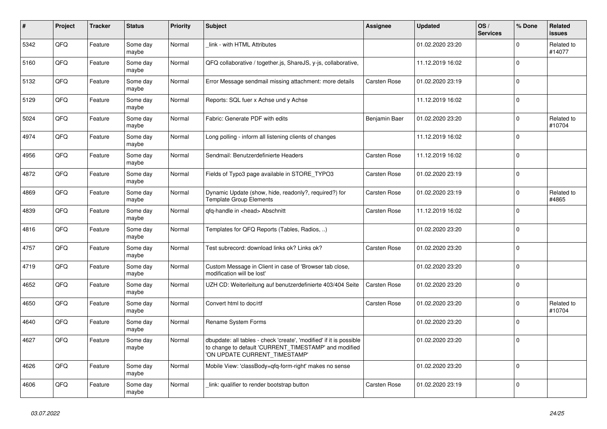| $\pmb{\sharp}$ | <b>Project</b> | <b>Tracker</b> | <b>Status</b>     | <b>Priority</b> | <b>Subject</b>                                                                                                                                                | Assignee      | <b>Updated</b>   | OS/<br><b>Services</b> | % Done      | Related<br><b>issues</b> |
|----------------|----------------|----------------|-------------------|-----------------|---------------------------------------------------------------------------------------------------------------------------------------------------------------|---------------|------------------|------------------------|-------------|--------------------------|
| 5342           | QFQ            | Feature        | Some day<br>maybe | Normal          | link - with HTML Attributes                                                                                                                                   |               | 01.02.2020 23:20 |                        | $\Omega$    | Related to<br>#14077     |
| 5160           | QFQ            | Feature        | Some day<br>maybe | Normal          | QFQ collaborative / together.js, ShareJS, y-js, collaborative,                                                                                                |               | 11.12.2019 16:02 |                        | $\pmb{0}$   |                          |
| 5132           | QFQ            | Feature        | Some day<br>maybe | Normal          | Error Message sendmail missing attachment: more details                                                                                                       | Carsten Rose  | 01.02.2020 23:19 |                        | $\Omega$    |                          |
| 5129           | QFQ            | Feature        | Some day<br>maybe | Normal          | Reports: SQL fuer x Achse und y Achse                                                                                                                         |               | 11.12.2019 16:02 |                        | $\mathbf 0$ |                          |
| 5024           | QFQ            | Feature        | Some day<br>maybe | Normal          | Fabric: Generate PDF with edits                                                                                                                               | Benjamin Baer | 01.02.2020 23:20 |                        | $\pmb{0}$   | Related to<br>#10704     |
| 4974           | QFQ            | Feature        | Some day<br>maybe | Normal          | Long polling - inform all listening clients of changes                                                                                                        |               | 11.12.2019 16:02 |                        | $\mathbf 0$ |                          |
| 4956           | QFQ            | Feature        | Some day<br>maybe | Normal          | Sendmail: Benutzerdefinierte Headers                                                                                                                          | Carsten Rose  | 11.12.2019 16:02 |                        | $\mathbf 0$ |                          |
| 4872           | QFQ            | Feature        | Some day<br>maybe | Normal          | Fields of Typo3 page available in STORE_TYPO3                                                                                                                 | Carsten Rose  | 01.02.2020 23:19 |                        | $\Omega$    |                          |
| 4869           | QFQ            | Feature        | Some day<br>maybe | Normal          | Dynamic Update (show, hide, readonly?, required?) for<br><b>Template Group Elements</b>                                                                       | Carsten Rose  | 01.02.2020 23:19 |                        | $\pmb{0}$   | Related to<br>#4865      |
| 4839           | QFQ            | Feature        | Some day<br>maybe | Normal          | qfq-handle in <head> Abschnitt</head>                                                                                                                         | Carsten Rose  | 11.12.2019 16:02 |                        | $\pmb{0}$   |                          |
| 4816           | QFQ            | Feature        | Some day<br>maybe | Normal          | Templates for QFQ Reports (Tables, Radios, )                                                                                                                  |               | 01.02.2020 23:20 |                        | $\mathbf 0$ |                          |
| 4757           | QFQ            | Feature        | Some day<br>maybe | Normal          | Test subrecord: download links ok? Links ok?                                                                                                                  | Carsten Rose  | 01.02.2020 23:20 |                        | $\mathbf 0$ |                          |
| 4719           | QFQ            | Feature        | Some day<br>maybe | Normal          | Custom Message in Client in case of 'Browser tab close,<br>modification will be lost'                                                                         |               | 01.02.2020 23:20 |                        | $\mathbf 0$ |                          |
| 4652           | QFQ            | Feature        | Some day<br>maybe | Normal          | UZH CD: Weiterleitung auf benutzerdefinierte 403/404 Seite                                                                                                    | Carsten Rose  | 01.02.2020 23:20 |                        | $\mathbf 0$ |                          |
| 4650           | QFQ            | Feature        | Some day<br>maybe | Normal          | Convert html to doc/rtf                                                                                                                                       | Carsten Rose  | 01.02.2020 23:20 |                        | $\mathbf 0$ | Related to<br>#10704     |
| 4640           | QFQ            | Feature        | Some day<br>maybe | Normal          | Rename System Forms                                                                                                                                           |               | 01.02.2020 23:20 |                        | $\mathbf 0$ |                          |
| 4627           | QFQ            | Feature        | Some day<br>maybe | Normal          | dbupdate: all tables - check 'create', 'modified' if it is possible<br>to change to default 'CURRENT_TIMESTAMP' and modified<br>'ON UPDATE CURRENT TIMESTAMP' |               | 01.02.2020 23:20 |                        | $\mathbf 0$ |                          |
| 4626           | QFQ            | Feature        | Some day<br>maybe | Normal          | Mobile View: 'classBody=qfq-form-right' makes no sense                                                                                                        |               | 01.02.2020 23:20 |                        | $\mathbf 0$ |                          |
| 4606           | QFQ            | Feature        | Some day<br>maybe | Normal          | link: qualifier to render bootstrap button                                                                                                                    | Carsten Rose  | 01.02.2020 23:19 |                        | $\pmb{0}$   |                          |